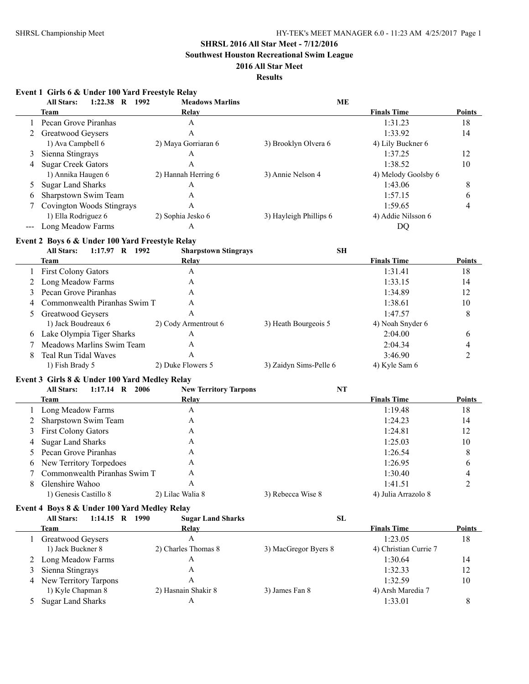**Southwest Houston Recreational Swim League**

### **2016 All Star Meet**

### **Results**

|     | Event 1 Girls 6 & Under 100 Yard Freestyle Relay<br>1:22.38 R 1992<br><b>All Stars:</b> | <b>Meadows Marlins</b>       | <b>ME</b>              |                       |                |
|-----|-----------------------------------------------------------------------------------------|------------------------------|------------------------|-----------------------|----------------|
|     | Team                                                                                    | Relay                        |                        | <b>Finals Time</b>    | Points         |
| 1   | Pecan Grove Piranhas                                                                    | A                            |                        | 1:31.23               | 18             |
| 2   | Greatwood Geysers                                                                       | A                            |                        | 1:33.92               | 14             |
|     | 1) Ava Campbell 6                                                                       | 2) Maya Gorriaran 6          | 3) Brooklyn Olvera 6   | 4) Lily Buckner 6     |                |
| 3   | Sienna Stingrays                                                                        | A                            |                        | 1:37.25               | 12             |
| 4   | <b>Sugar Creek Gators</b>                                                               | A                            |                        | 1:38.52               | 10             |
|     | 1) Annika Haugen 6                                                                      | 2) Hannah Herring 6          | 3) Annie Nelson 4      | 4) Melody Goolsby 6   |                |
| 5   | <b>Sugar Land Sharks</b>                                                                | A                            |                        | 1:43.06               | 8              |
| 6   | Sharpstown Swim Team                                                                    | A                            |                        | 1:57.15               | 6              |
| 7   | <b>Covington Woods Stingrays</b>                                                        | A                            |                        | 1:59.65               | 4              |
|     | 1) Ella Rodriguez 6                                                                     | 2) Sophia Jesko 6            | 3) Hayleigh Phillips 6 | 4) Addie Nilsson 6    |                |
| --- | Long Meadow Farms                                                                       | A                            |                        | DQ                    |                |
|     |                                                                                         |                              |                        |                       |                |
|     | Event 2 Boys 6 & Under 100 Yard Freestyle Relay<br><b>All Stars:</b><br>1:17.97 R 1992  | <b>Sharpstown Stingrays</b>  | <b>SH</b>              |                       |                |
|     | Team                                                                                    | Relay                        |                        | <b>Finals Time</b>    | Points         |
|     | <b>First Colony Gators</b>                                                              | A                            |                        | 1:31.41               | 18             |
|     | Long Meadow Farms                                                                       | A                            |                        | 1:33.15               | 14             |
| 2   | Pecan Grove Piranhas                                                                    |                              |                        |                       |                |
| 3   |                                                                                         | A                            |                        | 1:34.89               | 12             |
| 4   | Commonwealth Piranhas Swim T                                                            | A                            |                        | 1:38.61               | 10             |
| 5   | Greatwood Geysers                                                                       | A                            |                        | 1:47.57               | 8              |
|     | 1) Jack Boudreaux 6                                                                     | 2) Cody Armentrout 6         | 3) Heath Bourgeois 5   | 4) Noah Snyder 6      |                |
|     | Lake Olympia Tiger Sharks                                                               | A                            |                        | 2:04.00               | 6              |
| 7   | Meadows Marlins Swim Team                                                               | A                            |                        | 2:04.34               | 4              |
| 8   | Teal Run Tidal Waves                                                                    | A                            |                        | 3:46.90               | $\overline{2}$ |
|     | 1) Fish Brady 5                                                                         | 2) Duke Flowers 5            | 3) Zaidyn Sims-Pelle 6 | 4) Kyle Sam 6         |                |
|     | Event 3 Girls 8 & Under 100 Yard Medley Relay                                           |                              |                        |                       |                |
|     | <b>All Stars:</b><br>1:17.14 R 2006                                                     | <b>New Territory Tarpons</b> | <b>NT</b>              |                       |                |
|     | Team                                                                                    | Relay                        |                        | <b>Finals Time</b>    | Points         |
| 1   | Long Meadow Farms                                                                       | A                            |                        | 1:19.48               | 18             |
| 2   | Sharpstown Swim Team                                                                    | A                            |                        | 1:24.23               | 14             |
| 3   | First Colony Gators                                                                     | A                            |                        | 1:24.81               | 12             |
| 4   | <b>Sugar Land Sharks</b>                                                                | A                            |                        | 1:25.03               | 10             |
| 5   | Pecan Grove Piranhas                                                                    | A                            |                        | 1:26.54               | 8              |
| 6   | New Territory Torpedoes                                                                 | A                            |                        | 1:26.95               | 6              |
| 7   | Commonwealth Piranhas Swim T                                                            | A                            |                        | 1:30.40               | $\overline{4}$ |
| 8   | Glenshire Wahoo                                                                         | A                            |                        | 1:41.51               | 2              |
|     | 1) Genesis Castillo 8                                                                   | 2) Lilac Walia 8             | 3) Rebecca Wise 8      | 4) Julia Arrazolo 8   |                |
|     |                                                                                         |                              |                        |                       |                |
|     | Event 4 Boys 8 & Under 100 Yard Medley Relay<br><b>All Stars:</b><br>1:14.15 R 1990     | <b>Sugar Land Sharks</b>     | SL                     |                       |                |
|     | Team                                                                                    | Relay                        |                        | <b>Finals Time</b>    | <b>Points</b>  |
|     | 1 Greatwood Geysers                                                                     | A                            |                        | 1:23.05               | 18             |
|     | 1) Jack Buckner 8                                                                       | 2) Charles Thomas 8          | 3) MacGregor Byers 8   | 4) Christian Currie 7 |                |
| 2   | Long Meadow Farms                                                                       | A                            |                        | 1:30.64               | 14             |
|     | Sienna Stingrays                                                                        | A                            |                        | 1:32.33               | 12             |
| 3   | New Territory Tarpons                                                                   | A                            |                        | 1:32.59               | 10             |
| 4   |                                                                                         | 2) Hasnain Shakir 8          |                        |                       |                |
|     | 1) Kyle Chapman 8                                                                       |                              | 3) James Fan 8         | 4) Arsh Maredia 7     |                |
|     | <b>Sugar Land Sharks</b>                                                                | A                            |                        | 1:33.01               | 8              |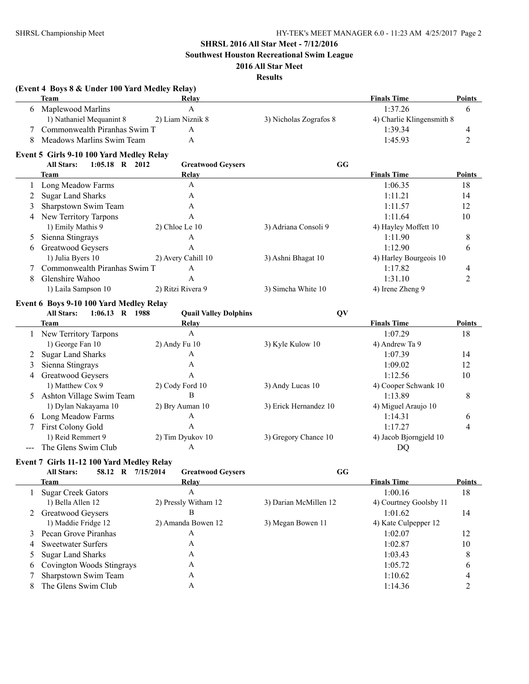**Southwest Houston Recreational Swim League**

### **2016 All Star Meet**

### **Results**

|   | (Event 4 Boys 8 & Under 100 Yard Medley Relay)<br>Team | Relay                        |                        | <b>Finals Time</b>        | <b>Points</b>  |
|---|--------------------------------------------------------|------------------------------|------------------------|---------------------------|----------------|
|   | 6 Maplewood Marlins                                    | $\mathbf{A}$                 |                        | 1:37.26                   | 6              |
|   | 1) Nathaniel Mequanint 8                               | 2) Liam Niznik 8             | 3) Nicholas Zografos 8 | 4) Charlie Klingensmith 8 |                |
|   | Commonwealth Piranhas Swim T                           | A                            |                        | 1:39.34                   | 4              |
|   | Meadows Marlins Swim Team                              | A                            |                        | 1:45.93                   | $\overline{c}$ |
|   | Event 5 Girls 9-10 100 Yard Medley Relay               |                              |                        |                           |                |
|   | 1:05.18 R 2012<br><b>All Stars:</b>                    | <b>Greatwood Geysers</b>     | GG                     |                           |                |
|   | <b>Team</b>                                            | Relay                        |                        | <b>Finals Time</b>        | <b>Points</b>  |
| 1 | Long Meadow Farms                                      | A                            |                        | 1:06.35                   | 18             |
| 2 | <b>Sugar Land Sharks</b>                               | A                            |                        | 1:11.21                   | 14             |
| 3 | Sharpstown Swim Team                                   | A                            |                        | 1:11.57                   | 12             |
| 4 | New Territory Tarpons                                  | $\mathbf{A}$                 |                        | 1:11.64                   | 10             |
|   | 1) Emily Mathis 9                                      | 2) Chloe Le 10               | 3) Adriana Consoli 9   | 4) Hayley Moffett 10      |                |
| 5 | Sienna Stingrays                                       | A                            |                        | 1:11.90                   | 8              |
| 6 | Greatwood Geysers                                      | $\mathbf{A}$                 |                        | 1:12.90                   | 6              |
|   | 1) Julia Byers 10                                      | 2) Avery Cahill 10           | 3) Ashni Bhagat 10     | 4) Harley Bourgeois 10    |                |
|   | Commonwealth Piranhas Swim T                           | A                            |                        | 1:17.82                   |                |
|   |                                                        | A                            |                        |                           | 4              |
| 8 | Glenshire Wahoo                                        |                              |                        | 1:31.10                   | $\overline{2}$ |
|   | 1) Laila Sampson 10                                    | 2) Ritzi Rivera 9            | 3) Simcha White 10     | 4) Irene Zheng 9          |                |
|   | Event 6 Boys 9-10 100 Yard Medley Relay                |                              |                        |                           |                |
|   | 1:06.13 R 1988<br><b>All Stars:</b>                    | <b>Quail Valley Dolphins</b> | QV                     |                           |                |
|   | Team                                                   | Relay                        |                        | <b>Finals Time</b>        | <b>Points</b>  |
|   | 1 New Territory Tarpons                                | A                            |                        | 1:07.29                   | 18             |
|   | 1) George Fan 10                                       | 2) Andy Fu 10                | 3) Kyle Kulow 10       | 4) Andrew Ta 9            |                |
| 2 | <b>Sugar Land Sharks</b>                               | A                            |                        | 1:07.39                   | 14             |
| 3 | Sienna Stingrays                                       | A                            |                        | 1:09.02                   | 12             |
| 4 | Greatwood Geysers                                      | A                            |                        | 1:12.56                   | 10             |
|   | 1) Matthew Cox 9                                       | 2) Cody Ford 10              | 3) Andy Lucas 10       | 4) Cooper Schwank 10      |                |
|   | 5 Ashton Village Swim Team                             | B                            |                        | 1:13.89                   | 8              |
|   | 1) Dylan Nakayama 10                                   | 2) Bry Auman 10              | 3) Erick Hernandez 10  | 4) Miguel Araujo 10       |                |
|   | 6 Long Meadow Farms                                    | A                            |                        | 1:14.31                   | 6              |
| 7 | First Colony Gold                                      | A                            |                        | 1:17.27                   | 4              |
|   | 1) Reid Remmert 9                                      | 2) Tim Dyukov 10             | 3) Gregory Chance 10   | 4) Jacob Bjorngjeld 10    |                |
|   | The Glens Swim Club                                    | A                            |                        | DQ                        |                |
|   | Event 7 Girls 11-12 100 Yard Medley Relay              |                              |                        |                           |                |
|   | 58.12 R 7/15/2014<br><b>All Stars:</b>                 | <b>Greatwood Geysers</b>     | GG                     |                           |                |
|   | Team                                                   | <b>Relay</b>                 |                        | <b>Finals Time</b>        | <b>Points</b>  |
| 1 | <b>Sugar Creek Gators</b>                              | $\mathbf{A}$                 |                        | 1:00.16                   | 18             |
|   | 1) Bella Allen 12                                      | 2) Pressly Witham 12         | 3) Darian McMillen 12  | 4) Courtney Goolsby 11    |                |
|   | 2 Greatwood Geysers                                    | B                            |                        | 1:01.62                   | 14             |
|   | 1) Maddie Fridge 12                                    | 2) Amanda Bowen 12           | 3) Megan Bowen 11      | 4) Kate Culpepper 12      |                |
| 3 | Pecan Grove Piranhas                                   | A                            |                        | 1:02.07                   | 12             |
| 4 | <b>Sweetwater Surfers</b>                              | A                            |                        | 1:02.87                   | 10             |
| 5 | <b>Sugar Land Sharks</b>                               | A                            |                        | 1:03.43                   | 8              |
|   | Covington Woods Stingrays                              | A                            |                        | 1:05.72                   |                |
| 6 |                                                        |                              |                        |                           | 6              |
| 7 | Sharpstown Swim Team                                   | A                            |                        | 1:10.62                   | 4              |
| 8 | The Glens Swim Club                                    | $\boldsymbol{A}$             |                        | 1:14.36                   | 2              |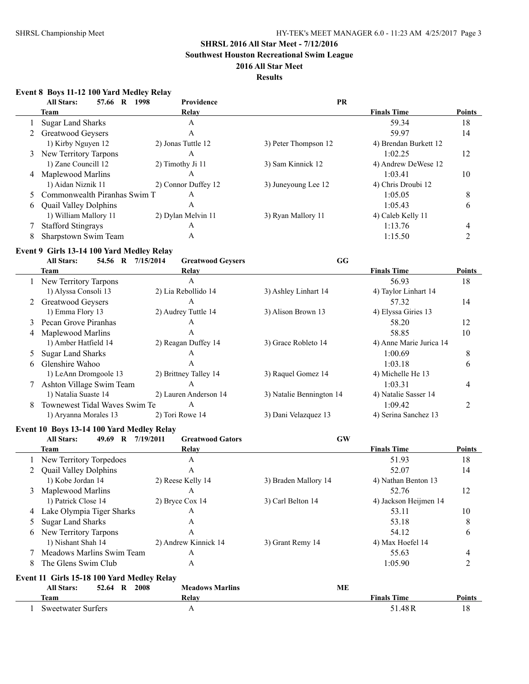**Southwest Houston Recreational Swim League**

### **2016 All Star Meet**

### **Results**

### **Event 8 Boys 11-12 100 Yard Medley Relay**

| <b>All Stars:</b><br>57.66 R | <b>Providence</b><br>1998 | <b>PR</b>                      |                       |               |
|------------------------------|---------------------------|--------------------------------|-----------------------|---------------|
| Team                         | Relay                     |                                | <b>Finals Time</b>    | <b>Points</b> |
| Sugar Land Sharks            | Α                         |                                | 59.34                 | 18            |
| 2 Greatwood Geysers          | Α                         |                                | 59.97                 | 14            |
| 1) Kirby Nguyen 12           | 2) Jonas Tuttle 12        | 3) Peter Thompson 12           | 4) Brendan Burkett 12 |               |
| 3 New Territory Tarpons      | A                         |                                | 1:02.25               | 12            |
| 1) Zane Councill 12          | 2) Timothy Ji 11          | 3) Sam Kinnick 12              | 4) Andrew DeWese 12   |               |
| 4 Maplewood Marlins          | А                         |                                | 1:03.41               | 10            |
| 1) Aidan Niznik 11           | 2) Connor Duffey 12       | 3) Juneyoung Lee 12            | 4) Chris Droubi 12    |               |
|                              | A                         |                                | 1:05.05               | 8             |
| <b>Quail Valley Dolphins</b> | А                         |                                | 1:05.43               | 6             |
| 1) William Mallory 11        | 2) Dylan Melvin 11        | 3) Ryan Mallory 11             | 4) Caleb Kelly 11     |               |
| <b>Stafford Stingrays</b>    | А                         |                                | 1:13.76               | 4             |
| Sharpstown Swim Team         | Α                         |                                | 1:15.50               |               |
|                              |                           | 5 Commonwealth Piranhas Swim T |                       |               |

### **Event 9 Girls 13-14 100 Yard Medley Relay**

|    | 54.56 R<br><b>All Stars:</b>  | 7/15/2014<br><b>Greatwood Geysers</b> | GG                       |                         |               |
|----|-------------------------------|---------------------------------------|--------------------------|-------------------------|---------------|
|    | Team                          | Relay                                 |                          | <b>Finals Time</b>      | <b>Points</b> |
|    | New Territory Tarpons         | A                                     |                          | 56.93                   | 18            |
|    | 1) Alyssa Consoli 13          | 2) Lia Rebollido 14                   | 3) Ashley Linhart 14     | 4) Taylor Linhart 14    |               |
|    | 2 Greatwood Geysers           | A                                     |                          | 57.32                   | 14            |
|    | 1) Emma Flory 13              | 2) Audrey Tuttle 14                   | 3) Alison Brown 13       | 4) Elyssa Giries 13     |               |
| 3  | Pecan Grove Piranhas          | A                                     |                          | 58.20                   | 12            |
| 4  | Maplewood Marlins             | A                                     |                          | 58.85                   | 10            |
|    | 1) Amber Hatfield 14          | 2) Reagan Duffey 14                   | 3) Grace Robleto 14      | 4) Anne Marie Jurica 14 |               |
| 5  | <b>Sugar Land Sharks</b>      | A                                     |                          | 1:00.69                 | 8             |
| 6. | Glenshire Wahoo               | A                                     |                          | 1:03.18                 | 6             |
|    | 1) LeAnn Dromgoole 13         | 2) Brittney Talley 14                 | 3) Raquel Gomez 14       | 4) Michelle He 13       |               |
|    | Ashton Village Swim Team      | A                                     |                          | 1:03.31                 | 4             |
|    | 1) Natalia Suaste 14          | 2) Lauren Anderson 14                 | 3) Natalie Bennington 14 | 4) Natalie Sasser 14    |               |
| 8  | Townewest Tidal Waves Swim Te | A                                     |                          | 1:09.42                 |               |
|    | 1) Aryanna Morales 13         | 2) Tori Rowe 14                       | 3) Dani Velazquez 13     | 4) Serina Sanchez 13    |               |
|    |                               |                                       |                          |                         |               |

### **Event 10 Boys 13-14 100 Yard Medley Relay**

|   | <b>All Stars:</b><br>49.69<br>$\mathbf{R}$ | 7/19/2011<br><b>Greatwood Gators</b> | <b>GW</b>            |                       |                |
|---|--------------------------------------------|--------------------------------------|----------------------|-----------------------|----------------|
|   | Team                                       | Relay                                |                      | <b>Finals Time</b>    | <b>Points</b>  |
|   | New Territory Torpedoes                    | А                                    |                      | 51.93                 | 18             |
|   | <b>Quail Valley Dolphins</b>               | A                                    |                      | 52.07                 | 14             |
|   | 1) Kobe Jordan 14                          | 2) Reese Kelly 14                    | 3) Braden Mallory 14 | 4) Nathan Benton 13   |                |
| 3 | Maplewood Marlins                          | A                                    |                      | 52.76                 | 12             |
|   | 1) Patrick Close 14                        | 2) Bryce Cox 14                      | 3) Carl Belton 14    | 4) Jackson Heijmen 14 |                |
| 4 | Lake Olympia Tiger Sharks                  | A                                    |                      | 53.11                 | 10             |
| 5 | <b>Sugar Land Sharks</b>                   | 53.18<br>A                           |                      |                       |                |
| 6 | New Territory Tarpons                      | A                                    |                      | 54.12                 | 6              |
|   | 1) Nishant Shah 14                         | 2) Andrew Kinnick 14                 | 3) Grant Remy 14     | 4) Max Hoefel 14      |                |
|   | Meadows Marlins Swim Team                  | А                                    |                      | 55.63                 | 4              |
| 8 | The Glens Swim Club                        | A                                    |                      | 1:05.90               | $\overline{c}$ |
|   | Event 11 Girls 15-18 100 Yard Medley Relay |                                      |                      |                       |                |
|   | <b>All Stars:</b><br>52.64 R 2008          | <b>Meadows Marlins</b>               | MЕ                   |                       |                |
|   | Team                                       | Relay                                |                      | <b>Finals Time</b>    | Points         |
|   | <b>Sweetwater Surfers</b>                  | A                                    |                      | 51.48R                | 18             |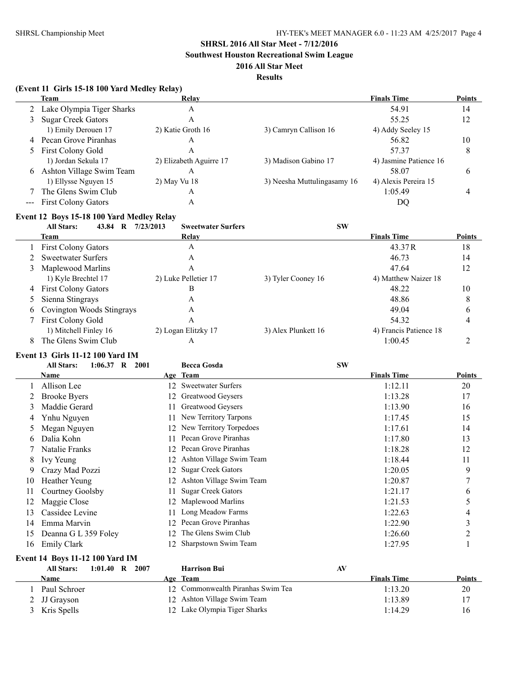**Southwest Houston Recreational Swim League**

### **2016 All Star Meet**

#### **Results**

|   | (Event 11 Girls 15-18 100 Yard Medley Relay) |                           |                             |                        |               |
|---|----------------------------------------------|---------------------------|-----------------------------|------------------------|---------------|
|   | <b>Team</b>                                  | <b>Relay</b>              |                             | <b>Finals Time</b>     | Points        |
|   | Lake Olympia Tiger Sharks                    | A                         |                             | 54.91                  | 14            |
| 3 | <b>Sugar Creek Gators</b>                    | A                         |                             | 55.25                  | 12            |
|   | 1) Emily Derouen 17                          | 2) Katie Groth 16         | 3) Camryn Callison 16       | 4) Addy Seeley 15      |               |
| 4 | Pecan Grove Piranhas                         | A                         |                             | 56.82                  | 10            |
| 5 | <b>First Colony Gold</b>                     | A                         |                             | 57.37                  | 8             |
|   | 1) Jordan Sekula 17                          | 2) Elizabeth Aguirre 17   | 3) Madison Gabino 17        | 4) Jasmine Patience 16 |               |
| 6 | Ashton Village Swim Team                     | A                         |                             | 58.07                  | 6             |
|   | 1) Ellysse Nguyen 15                         | 2) May Vu 18              | 3) Neesha Muttulingasamy 16 | 4) Alexis Pereira 15   |               |
|   | The Glens Swim Club                          | A                         |                             | 1:05.49                | 4             |
|   | <b>First Colony Gators</b>                   | A                         |                             | DQ                     |               |
|   | Event 12 Boys 15-18 100 Yard Medley Relay    |                           |                             |                        |               |
|   | <b>All Stars:</b><br>43.84 R 7/23/2013       | <b>Sweetwater Surfers</b> | <b>SW</b>                   |                        |               |
|   | <b>Team</b>                                  | Relay                     |                             | <b>Finals Time</b>     | <b>Points</b> |
|   | <b>First Colony Gators</b>                   | A                         |                             | 43.37R                 | 18            |
|   | <b>Sweetwater Surfers</b>                    | A                         |                             | 46.73                  | 14            |
| 3 | Maplewood Marlins                            | $\overline{A}$            |                             | 47.64                  | 12            |
|   | 1) Kyle Brechtel 17                          | 2) Luke Pelletier 17      | 3) Tyler Cooney 16          | 4) Matthew Naizer 18   |               |
| 4 | <b>First Colony Gators</b>                   | B                         |                             | 48.22                  | 10            |
| 5 | Sienna Stingrays                             | A                         |                             | 48.86                  | 8             |
| 6 | Covington Woods Stingrays                    | A                         |                             | 49.04                  | 6             |
|   | <b>First Colony Gold</b>                     | A                         |                             | 54.32                  | 4             |
|   | 1) Mitchell Finley 16                        | 2) Logan Elitzky 17       | 3) Alex Plunkett 16         | 4) Francis Patience 18 |               |
| 8 | The Glens Swim Club                          | A                         |                             | 1:00.45                | 2             |

## **Event 13 Girls 11-12 100 Yard IM**

|    | $1:06.37$ R<br><b>All Stars:</b><br>2001 |     | <b>Becca Gosda</b>        | <b>SW</b>          |        |
|----|------------------------------------------|-----|---------------------------|--------------------|--------|
|    | Name                                     |     | Age Team                  | <b>Finals Time</b> | Points |
|    | Allison Lee                              |     | 12 Sweetwater Surfers     | 1:12.11            | 20     |
|    | <b>Brooke Byers</b>                      | 12. | Greatwood Geysers         | 1:13.28            | 17     |
| 3  | Maddie Gerard                            |     | Greatwood Geysers         | 1:13.90            | 16     |
| 4  | Ynhu Nguyen                              |     | New Territory Tarpons     | 1:17.45            | 15     |
|    | Megan Nguyen                             | 12. | New Territory Torpedoes   | 1:17.61            | 14     |
| 6. | Dalia Kohn                               |     | Pecan Grove Piranhas      | 1:17.80            | 13     |
|    | Natalie Franks                           | 12  | Pecan Grove Piranhas      | 1:18.28            | 12     |
| 8  | Ivy Yeung                                | 12. | Ashton Village Swim Team  | 1:18.44            | 11     |
| 9. | Crazy Mad Pozzi                          | 12. | <b>Sugar Creek Gators</b> | 1:20.05            | 9      |
| 10 | Heather Yeung                            | 12. | Ashton Village Swim Team  | 1:20.87            | 7      |
| 11 | Courtney Goolsby                         |     | <b>Sugar Creek Gators</b> | 1:21.17            | 6      |
| 12 | Maggie Close                             | 12  | Maplewood Marlins         | 1:21.53            | 5      |
| 13 | Cassidee Levine                          |     | Long Meadow Farms         | 1:22.63            | 4      |
| 14 | Emma Marvin                              | 12  | Pecan Grove Piranhas      | 1:22.90            | 3      |
| 15 | Deanna G L 359 Foley                     | 12. | The Glens Swim Club       | 1:26.60            | 2      |
| 16 | Emily Clark                              | 12. | Sharpstown Swim Team      | 1:27.95            |        |

## **Event 14 Boys 11-12 100 Yard IM**

| <b>All Stars:</b> | $1:01.40$ R 2007 | <b>Harrison Bui</b>               | AV |                    |               |
|-------------------|------------------|-----------------------------------|----|--------------------|---------------|
| Name              |                  | Age Team                          |    | <b>Finals Time</b> | <b>Points</b> |
| Paul Schroer      |                  | 12 Commonwealth Piranhas Swim Tea |    | 1:13.20            | 20            |
| 2 JJ Grayson      |                  | 12 Ashton Village Swim Team       |    | 1:13.89            |               |
| 3 Kris Spells     |                  | 12 Lake Olympia Tiger Sharks      |    | 1:14.29            | 16            |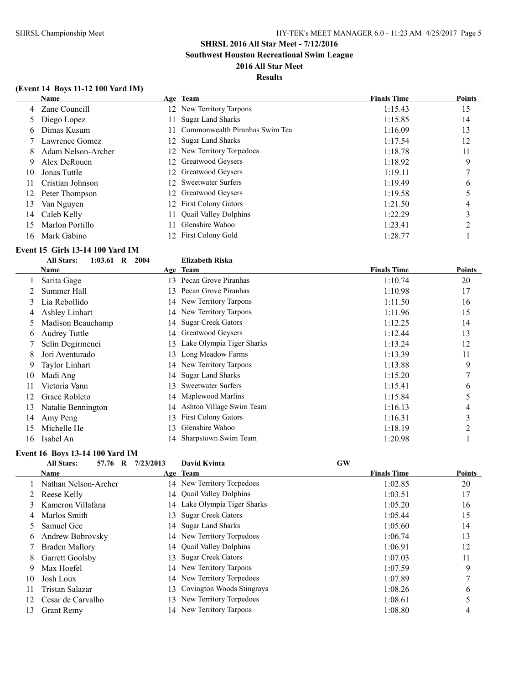**Southwest Houston Recreational Swim League**

### **2016 All Star Meet Results**

### **(Event 14 Boys 11-12 100 Yard IM)**

|    | <b>Name</b>        |     | Age Team                       | <b>Finals Time</b> | <b>Points</b> |
|----|--------------------|-----|--------------------------------|--------------------|---------------|
|    | 4 Zane Councill    |     | 12 New Territory Tarpons       | 1:15.43            | 15            |
|    | 5 Diego Lopez      | 11  | <b>Sugar Land Sharks</b>       | 1:15.85            | 14            |
| 6  | Dimas Kusum        |     | Commonwealth Piranhas Swim Tea | 1:16.09            | 13            |
|    | Lawrence Gomez     |     | 12 Sugar Land Sharks           | 1:17.54            | 12            |
| 8. | Adam Nelson-Archer |     | 12 New Territory Torpedoes     | 1:18.78            | 11            |
| 9  | Alex DeRouen       |     | 12 Greatwood Geysers           | 1:18.92            | 9             |
| 10 | Jonas Tuttle       |     | 12 Greatwood Geysers           | 1:19.11            |               |
| 11 | Cristian Johnson   |     | 12 Sweetwater Surfers          | 1:19.49            | $\mathfrak b$ |
| 12 | Peter Thompson     |     | 12 Greatwood Geysers           | 1:19.58            |               |
| 13 | Van Nguyen         |     | 12 First Colony Gators         | 1:21.50            | 4             |
| 14 | Caleb Kelly        | 11  | <b>Quail Valley Dolphins</b>   | 1:22.29            |               |
| 15 | Marlon Portillo    | 11. | Glenshire Wahoo                | 1:23.41            | ◠             |
| 16 | Mark Gabino        |     | 12 First Colony Gold           | 1:28.77            |               |

# **Event 15 Girls 13-14 100 Yard IM**<br>All Stars: 1:03.61 R 2004

|    | <b>All Stars:</b><br>1:03.61<br>R | 2004 | <b>Elizabeth Riska</b>      |                    |        |
|----|-----------------------------------|------|-----------------------------|--------------------|--------|
|    | Name                              |      | Age Team                    | <b>Finals Time</b> | Points |
|    | Sarita Gage                       |      | 13 Pecan Grove Piranhas     | 1:10.74            | 20     |
|    | Summer Hall                       | 13.  | Pecan Grove Piranhas        | 1:10.98            | 17     |
| 3  | Lia Rebollido                     |      | 14 New Territory Tarpons    | 1:11.50            | 16     |
| 4  | Ashley Linhart                    |      | 14 New Territory Tarpons    | 1:11.96            | 15     |
|    | Madison Beauchamp                 |      | 14 Sugar Creek Gators       | 1:12.25            | 14     |
| O  | <b>Audrey Tuttle</b>              |      | 14 Greatwood Geysers        | 1:12.44            | 13     |
|    | Selin Degirmenci                  | 13   | Lake Olympia Tiger Sharks   | 1:13.24            | 12     |
| 8  | Jori Aventurado                   | 13.  | Long Meadow Farms           | 1:13.39            | 11     |
| 9  | Taylor Linhart                    |      | 14 New Territory Tarpons    | 1:13.88            | 9      |
| 10 | Madi Ang                          |      | 14 Sugar Land Sharks        | 1:15.20            | 7      |
| 11 | Victoria Vann                     | 13   | <b>Sweetwater Surfers</b>   | 1:15.41            | 6      |
| 12 | Grace Robleto                     |      | 14 Maplewood Marlins        | 1:15.84            | 5      |
| 13 | Natalie Bennington                |      | 14 Ashton Village Swim Team | 1:16.13            | 4      |
| 14 | Amy Peng                          | 13   | <b>First Colony Gators</b>  | 1:16.31            | 3      |
| 15 | Michelle He                       | 13   | Glenshire Wahoo             | 1:18.19            | 2      |
| 16 | Isabel An                         |      | 14 Sharpstown Swim Team     | 1:20.98            |        |

### **Event 16 Boys 13-14 100 Yard IM**

|    | <b>All Stars:</b><br>57.76 R | 7/23/2013 | David Kvinta                 | <b>GW</b>          |               |
|----|------------------------------|-----------|------------------------------|--------------------|---------------|
|    | <b>Name</b>                  |           | Age Team                     | <b>Finals Time</b> | <b>Points</b> |
|    | Nathan Nelson-Archer         |           | 14 New Territory Torpedoes   | 1:02.85            | 20            |
|    | Reese Kelly                  |           | 14 Quail Valley Dolphins     | 1:03.51            | 17            |
| 3  | Kameron Villafana            |           | 14 Lake Olympia Tiger Sharks | 1:05.20            | 16            |
| 4  | Marlos Smith                 | 13.       | <b>Sugar Creek Gators</b>    | 1:05.44            | 15            |
|    | Samuel Gee                   |           | 14 Sugar Land Sharks         | 1:05.60            | 14            |
| 6  | Andrew Bobrovsky             |           | 14 New Territory Torpedoes   | 1:06.74            | 13            |
|    | Braden Mallory               |           | 14 Quail Valley Dolphins     | 1:06.91            | 12            |
| 8  | Garrett Goolsby              | 13.       | <b>Sugar Creek Gators</b>    | 1:07.03            | 11            |
| 9  | Max Hoefel                   |           | 14 New Territory Tarpons     | 1:07.59            | 9             |
| 10 | Josh Loux                    |           | 14 New Territory Torpedoes   | 1:07.89            |               |
| 11 | Tristan Salazar              |           | 13 Covington Woods Stingrays | 1:08.26            | 6             |
| 12 | Cesar de Carvalho            |           | 13 New Territory Torpedoes   | 1:08.61            |               |
| 13 | <b>Grant Remy</b>            |           | 14 New Territory Tarpons     | 1:08.80            | 4             |
|    |                              |           |                              |                    |               |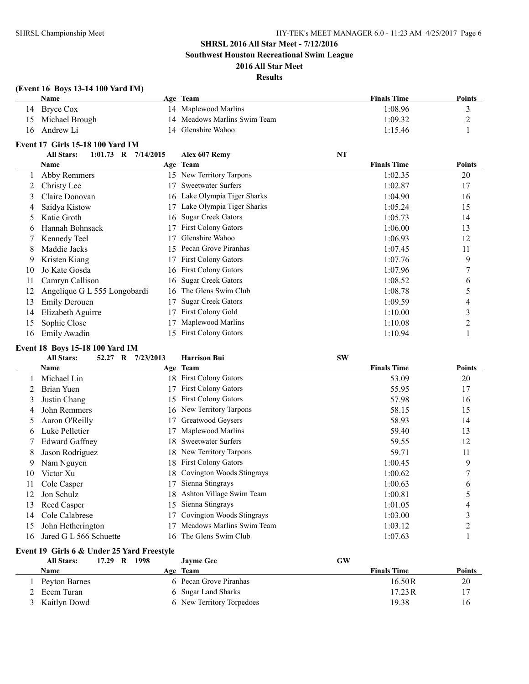### **SHRSL 2016 All Star Meet - 7/12/2016 Southwest Houston Recreational Swim League**

### **2016 All Star Meet Results**

|              | (Event 16 Boys 13-14 100 Yard IM)<br>Name  |    | Age Team                     | <b>Finals Time</b> | <b>Points</b>  |
|--------------|--------------------------------------------|----|------------------------------|--------------------|----------------|
| 14           | <b>Bryce Cox</b>                           |    | 14 Maplewood Marlins         | 1:08.96            | 3              |
| 15           | Michael Brough                             | 14 | Meadows Marlins Swim Team    | 1:09.32            | $\overline{c}$ |
| 16           | Andrew Li                                  |    | 14 Glenshire Wahoo           | 1:15.46            | 1              |
|              |                                            |    |                              |                    |                |
|              | Event 17 Girls 15-18 100 Yard IM           |    |                              |                    |                |
|              | <b>All Stars:</b><br>1:01.73 R $7/14/2015$ |    | Alex 607 Remy                | <b>NT</b>          |                |
|              | Name                                       |    | Age Team                     | <b>Finals Time</b> | <b>Points</b>  |
| 1            | Abby Remmers                               |    | 15 New Territory Tarpons     | 1:02.35            | 20             |
| 2            | Christy Lee                                |    | 17 Sweetwater Surfers        | 1:02.87            | 17             |
| 3            | Claire Donovan                             | 16 | Lake Olympia Tiger Sharks    | 1:04.90            | 16             |
| 4            | Saidya Kistow                              | 17 | Lake Olympia Tiger Sharks    | 1:05.24            | 15             |
| 5            | Katie Groth                                | 16 | <b>Sugar Creek Gators</b>    | 1:05.73            | 14             |
| 6            | Hannah Bohnsack                            | 17 | First Colony Gators          | 1:06.00            | 13             |
| 7            | Kennedy Teel                               | 17 | Glenshire Wahoo              | 1:06.93            | 12             |
| 8            | Maddie Jacks                               | 15 | Pecan Grove Piranhas         | 1:07.45            | 11             |
| 9            | Kristen Kiang                              | 17 | First Colony Gators          | 1:07.76            | 9              |
| 10           | Jo Kate Gosda                              | 16 | First Colony Gators          | 1:07.96            | $\overline{7}$ |
| 11           | Camryn Callison                            | 16 | <b>Sugar Creek Gators</b>    | 1:08.52            | 6              |
| 12           | Angelique G L 555 Longobardi               | 16 | The Glens Swim Club          | 1:08.78            | 5              |
| 13           | <b>Emily Derouen</b>                       | 17 | <b>Sugar Creek Gators</b>    | 1:09.59            | 4              |
| 14           | Elizabeth Aguirre                          | 17 | First Colony Gold            | 1:10.00            | 3              |
| 15           | Sophie Close                               | 17 | Maplewood Marlins            | 1:10.08            | $\overline{c}$ |
| 16           | Emily Awadin                               | 15 | <b>First Colony Gators</b>   | 1:10.94            | 1              |
|              | Event 18 Boys 15-18 100 Yard IM            |    |                              |                    |                |
|              | <b>All Stars:</b><br>52.27 R<br>7/23/2013  |    | <b>Harrison Bui</b>          | <b>SW</b>          |                |
|              | <b>Name</b>                                |    | Age Team                     | <b>Finals Time</b> | Points         |
| $\mathbf{1}$ | Michael Lin                                |    | 18 First Colony Gators       | 53.09              | 20             |
| 2            | <b>Brian Yuen</b>                          |    | 17 First Colony Gators       | 55.95              | 17             |
| 3            | Justin Chang                               | 15 | <b>First Colony Gators</b>   | 57.98              | 16             |
| 4            | John Remmers                               | 16 | New Territory Tarpons        | 58.15              | 15             |
| 5            | Aaron O'Reilly                             | 17 | Greatwood Geysers            | 58.93              | 14             |
| 6            | Luke Pelletier                             | 17 | Maplewood Marlins            | 59.40              | 13             |
| 7            | <b>Edward Gaffney</b>                      | 18 | <b>Sweetwater Surfers</b>    | 59.55              | 12             |
| 8            | Jason Rodriguez                            | 18 | New Territory Tarpons        | 59.71              | 11             |
| 9            | Nam Nguyen                                 | 18 | First Colony Gators          | 1:00.45            | 9              |
| 10           | Victor Xu                                  | 18 | Covington Woods Stingrays    | 1:00.62            | $\overline{7}$ |
| 11           | Cole Casper                                | 17 | Sienna Stingrays             | 1:00.63            | 6              |
| 12           | Jon Schulz                                 | 18 | Ashton Village Swim Team     | 1:00.81            | 5              |
| 13           | Reed Casper                                |    | 15 Sienna Stingrays          | 1:01.05            | $\overline{4}$ |
| 14           | Cole Calabrese                             |    | 17 Covington Woods Stingrays | 1:03.00            | 3              |

### **Event 19 Girls 6 & Under 25 Yard Freestyle**

| <b>All Stars:</b> | 17.29 | $\mathbf{R}$ | 1998 | <b>Jayme Gee</b>          | GW |                    |        |
|-------------------|-------|--------------|------|---------------------------|----|--------------------|--------|
| Name              |       |              |      | Age Team                  |    | <b>Finals Time</b> | Points |
| Peyton Barnes     |       |              |      | 6 Pecan Grove Piranhas    |    | 16.50 R            | 20     |
| Ecem Turan        |       |              |      | 6 Sugar Land Sharks       |    | 17.23R             |        |
| 3 Kaitlyn Dowd    |       |              |      | 6 New Territory Torpedoes |    | 19.38              | 16     |

 John Hetherington 17 Meadows Marlins Swim Team 1:03.12 2 16 Jared G L 566 Schuette 16 The Glens Swim Club 1:07.63 1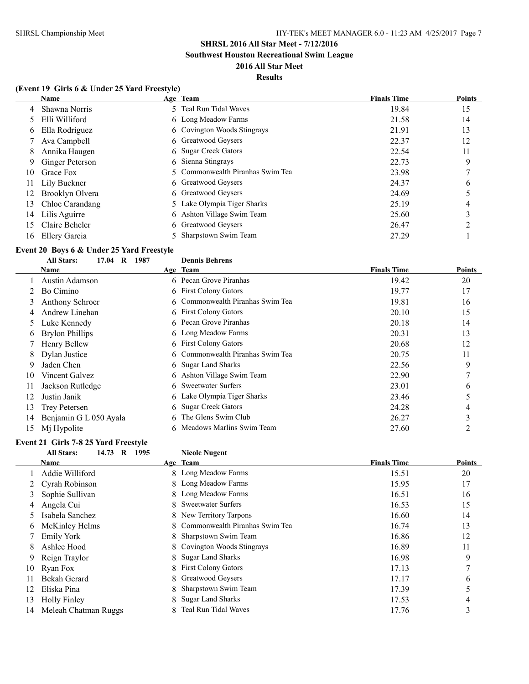**Southwest Houston Recreational Swim League**

### **2016 All Star Meet Results**

### **(Event 19 Girls 6 & Under 25 Yard Freestyle)**

|    | Name            | Age Team                         | <b>Finals Time</b> | <b>Points</b> |
|----|-----------------|----------------------------------|--------------------|---------------|
| 4  | Shawna Norris   | 5 Teal Run Tidal Waves           | 19.84              | 15            |
| 5. | Elli Williford  | 6 Long Meadow Farms              | 21.58              | 14            |
| 6  | Ella Rodriguez  | 6 Covington Woods Stingrays      | 21.91              | 13            |
|    | Ava Campbell    | 6 Greatwood Geysers              | 22.37              | 12            |
| 8  | Annika Haugen   | 6 Sugar Creek Gators             | 22.54              | 11            |
| -9 | Ginger Peterson | 6 Sienna Stingrays               | 22.73              | 9             |
| 10 | Grace Fox       | 5 Commonwealth Piranhas Swim Tea | 23.98              |               |
| 11 | Lily Buckner    | 6 Greatwood Geysers              | 24.37              | $\mathbf b$   |
| 12 | Brooklyn Olvera | 6 Greatwood Geysers              | 24.69              |               |
| 13 | Chloe Carandang | 5 Lake Olympia Tiger Sharks      | 25.19              | 4             |
| 14 | Lilis Aguirre   | 6 Ashton Village Swim Team       | 25.60              |               |
| 15 | Claire Beheler  | 6 Greatwood Geysers              | 26.47              | ↑             |
| 16 | Ellery Garcia   | 5 Sharpstown Swim Team           | 27.29              |               |

# **Event 20 Boys 6 & Under 25 Yard Freestyle**<br>All Stars: 17.04 B 1987

|    | <b>All Stars:</b><br>1987<br>17.04<br>$\mathbf{R}$ |    | <b>Dennis Behrens</b>            |                    |        |
|----|----------------------------------------------------|----|----------------------------------|--------------------|--------|
|    | Name                                               |    | Age Team                         | <b>Finals Time</b> | Points |
|    | Austin Adamson                                     |    | 6 Pecan Grove Piranhas           | 19.42              | 20     |
|    | Bo Cimino                                          |    | 6 First Colony Gators            | 19.77              | 17     |
| 3  | <b>Anthony Schroer</b>                             |    | 6 Commonwealth Piranhas Swim Tea | 19.81              | 16     |
| 4  | Andrew Linehan                                     |    | 6 First Colony Gators            | 20.10              | 15     |
| 5  | Luke Kennedy                                       |    | 6 Pecan Grove Piranhas           | 20.18              | 14     |
| 6  | <b>Brylon Phillips</b>                             |    | 6 Long Meadow Farms              | 20.31              | 13     |
|    | Henry Bellew                                       |    | 6 First Colony Gators            | 20.68              | 12     |
| 8  | Dylan Justice                                      |    | 6 Commonwealth Piranhas Swim Tea | 20.75              | 11     |
| 9  | Jaden Chen                                         |    | 6 Sugar Land Sharks              | 22.56              | 9      |
| 10 | Vincent Galvez                                     |    | 6 Ashton Village Swim Team       | 22.90              | 7      |
| 11 | Jackson Rutledge                                   |    | 6 Sweetwater Surfers             | 23.01              | 6      |
| 12 | Justin Janik                                       |    | 6 Lake Olympia Tiger Sharks      | 23.46              | 5      |
| 13 | Trey Petersen                                      |    | 6 Sugar Creek Gators             | 24.28              | 4      |
| 14 | Benjamin G L 050 Ayala                             | 6. | The Glens Swim Club              | 26.27              | 3      |
| 15 | Mj Hypolite                                        |    | 6 Meadows Marlins Swim Team      | 27.60              | 2      |

### **Event 21 Girls 7-8 25 Yard Freestyle**

### **All Stars: 14.73 R 1995 Nicole Nugent**

|    | Name                 |   | Age Team                         | <b>Finals Time</b> | <b>Points</b> |
|----|----------------------|---|----------------------------------|--------------------|---------------|
|    | Addie Williford      |   | 8 Long Meadow Farms              | 15.51              | 20            |
|    | Cyrah Robinson       |   | 8 Long Meadow Farms              | 15.95              | 17            |
| 3  | Sophie Sullivan      |   | 8 Long Meadow Farms              | 16.51              | 16            |
| 4  | Angela Cui           |   | 8 Sweetwater Surfers             | 16.53              | 15            |
|    | Isabela Sanchez      |   | 8 New Territory Tarpons          | 16.60              | 14            |
| 6  | McKinley Helms       |   | 8 Commonwealth Piranhas Swim Tea | 16.74              | 13            |
|    | <b>Emily York</b>    |   | 8 Sharpstown Swim Team           | 16.86              | 12            |
| 8  | Ashlee Hood          |   | 8 Covington Woods Stingrays      | 16.89              | 11            |
| 9  | Reign Traylor        |   | 8 Sugar Land Sharks              | 16.98              | 9             |
| 10 | Ryan Fox             |   | 8 First Colony Gators            | 17.13              |               |
|    | Bekah Gerard         |   | 8 Greatwood Geysers              | 17.17              | 6             |
| 12 | Eliska Pina          |   | Sharpstown Swim Team             | 17.39              | 5             |
| 13 | <b>Holly Finley</b>  | 8 | <b>Sugar Land Sharks</b>         | 17.53              | 4             |
| 14 | Meleah Chatman Ruggs |   | Teal Run Tidal Waves             | 17.76              | 3             |
|    |                      |   |                                  |                    |               |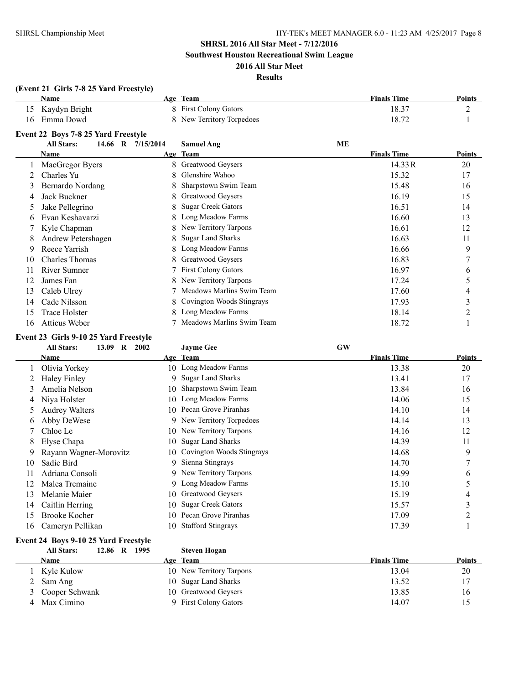**Southwest Houston Recreational Swim League**

### **2016 All Star Meet Results**

|    | (Event 21 Girls 7-8 25 Yard Freestyle) |           |                            |                    |               |
|----|----------------------------------------|-----------|----------------------------|--------------------|---------------|
|    | <b>Name</b>                            |           | Age Team                   | <b>Finals Time</b> | <b>Points</b> |
| 15 | Kaydyn Bright                          |           | 8 First Colony Gators      | 18.37              | 2             |
| 16 | Emma Dowd                              | 8         | New Territory Torpedoes    | 18.72              |               |
|    | Event 22 Boys 7-8 25 Yard Freestyle    |           |                            |                    |               |
|    | <b>All Stars:</b><br>14.66 R           | 7/15/2014 | <b>Samuel Ang</b>          | ME                 |               |
|    | Name                                   |           | Age Team                   | <b>Finals Time</b> | <b>Points</b> |
|    | MacGregor Byers                        | 8         | Greatwood Geysers          | 14.33R             | 20            |
|    | Charles Yu                             |           | Glenshire Wahoo            | 15.32              | 17            |
| 3  | Bernardo Nordang                       |           | Sharpstown Swim Team       | 15.48              | 16            |
| 4  | Jack Buckner                           | 8         | Greatwood Geysers          | 16.19              | 15            |
| 5  | Jake Pellegrino                        | 8         | <b>Sugar Creek Gators</b>  | 16.51              | 14            |
| 6  | Evan Keshavarzi                        |           | Long Meadow Farms          | 16.60              | 13            |
|    | Kyle Chapman                           |           | New Territory Tarpons      | 16.61              | 12            |
| 8  | Andrew Petershagen                     | 8         | <b>Sugar Land Sharks</b>   | 16.63              | 11            |
| 9  | Reece Yarrish                          |           | Long Meadow Farms          | 16.66              | 9             |
| 10 | <b>Charles Thomas</b>                  | 8         | Greatwood Geysers          | 16.83              |               |
| 11 | <b>River Sumner</b>                    |           | <b>First Colony Gators</b> | 16.97              | 6             |
| 12 | James Fan                              | 8         | New Territory Tarpons      | 17.24              | 5             |
| 13 | Caleb Ulrey                            |           | Meadows Marlins Swim Team  | 17.60              | 4             |
| 14 | Cade Nilsson                           |           | Covington Woods Stingrays  | 17.93              | 3             |
| 15 | <b>Trace Holster</b>                   |           | Long Meadow Farms          | 18.14              | 2             |
| 16 | Atticus Weber                          |           | Meadows Marlins Swim Team  | 18.72              |               |

### **Event 23 Girls 9-10 25 Yard Freestyle**

|    | <b>All Stars:</b><br>13.09<br>$\bf{R}$<br>2002 |     | <b>Jayme Gee</b>             | <b>GW</b>          |        |
|----|------------------------------------------------|-----|------------------------------|--------------------|--------|
|    | Name                                           |     | Age Team                     | <b>Finals Time</b> | Points |
|    | Olivia Yorkey                                  |     | 10 Long Meadow Farms         | 13.38              | 20     |
|    | <b>Haley Finley</b>                            |     | 9 Sugar Land Sharks          | 13.41              | 17     |
| 3  | Amelia Nelson                                  | 10- | Sharpstown Swim Team         | 13.84              | 16     |
| 4  | Niya Holster                                   | 10. | Long Meadow Farms            | 14.06              | 15     |
| 5. | <b>Audrey Walters</b>                          | 10. | Pecan Grove Piranhas         | 14.10              | 14     |
| 6  | Abby DeWese                                    | 9   | New Territory Torpedoes      | 14.14              | 13     |
|    | Chloe Le                                       |     | 10 New Territory Tarpons     | 14.16              | 12     |
| 8  | Elyse Chapa                                    | 10. | <b>Sugar Land Sharks</b>     | 14.39              | 11     |
| 9  | Rayann Wagner-Morovitz                         |     | 10 Covington Woods Stingrays | 14.68              | 9      |
| 10 | Sadie Bird                                     |     | 9 Sienna Stingrays           | 14.70              |        |
| 11 | Adriana Consoli                                | 9   | New Territory Tarpons        | 14.99              | 6      |
| 12 | Malea Tremaine                                 | 9   | Long Meadow Farms            | 15.10              | 5      |
| 13 | Melanie Maier                                  | 10. | Greatwood Geysers            | 15.19              | 4      |
| 14 | Caitlin Herring                                | 10. | <b>Sugar Creek Gators</b>    | 15.57              | ◠      |
| 15 | <b>Brooke Kocher</b>                           | 10. | Pecan Grove Piranhas         | 17.09              |        |
| 16 | Cameryn Pellikan                               | 10- | <b>Stafford Stingrays</b>    | 17.39              |        |

### **Event 24 Boys 9-10 25 Yard Freestyle**

### **All Stars: 12.86 R 1995 Steven Hogan**

| <b>Name</b>      | Age Team                 | <b>Finals Time</b> | <b>Points</b> |
|------------------|--------------------------|--------------------|---------------|
| Kyle Kulow       | 10 New Territory Tarpons | 13.04              | 20            |
| 2 Sam Ang        | 10 Sugar Land Sharks     | 13.52              |               |
| 3 Cooper Schwank | 10 Greatwood Geysers     | 13.85              | 16            |
| Max Cimino       | 9 First Colony Gators    | 14.07              |               |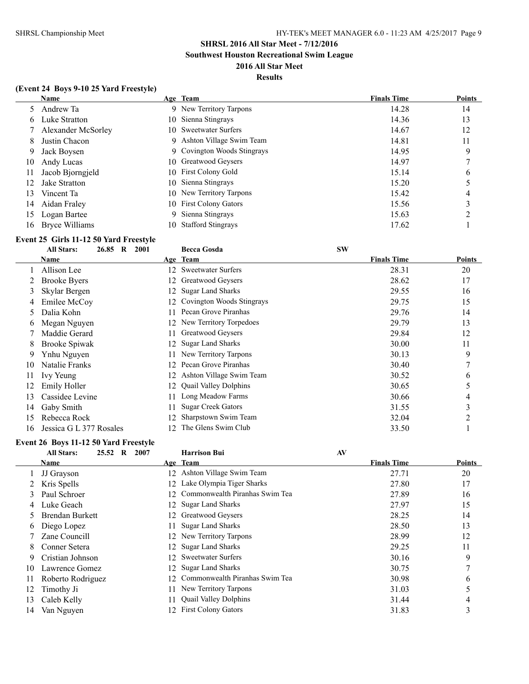**Southwest Houston Recreational Swim League**

### **2016 All Star Meet Results**

### **(Event 24 Boys 9-10 25 Yard Freestyle)**

|    | <b>Name</b>        |     | Age Team                    | <b>Finals Time</b> | <b>Points</b> |
|----|--------------------|-----|-----------------------------|--------------------|---------------|
|    | Andrew Ta          |     | 9 New Territory Tarpons     | 14.28              | 14            |
| 6  | Luke Stratton      |     | 10 Sienna Stingrays         | 14.36              | 13            |
|    | Alexander McSorley |     | 10 Sweetwater Surfers       | 14.67              | 12            |
| 8  | Justin Chacon      | 9   | Ashton Village Swim Team    | 14.81              | 11            |
| 9  | Jack Boysen        |     | 9 Covington Woods Stingrays | 14.95              | 9             |
| 10 | Andy Lucas         |     | 10 Greatwood Geysers        | 14.97              | ┑             |
| 11 | Jacob Bjorngjeld   |     | 10 First Colony Gold        | 15.14              | b             |
| 12 | Jake Stratton      |     | 10 Sienna Stingrays         | 15.20              |               |
| 13 | Vincent Ta         |     | 10 New Territory Tarpons    | 15.42              | 4             |
| 14 | Aidan Fraley       |     | 10 First Colony Gators      | 15.56              |               |
| 15 | Logan Bartee       | 9   | Sienna Stingrays            | 15.63              | ∍             |
| 16 | Bryce Williams     | 10. | <b>Stafford Stingrays</b>   | 17.62              |               |

### **Event 25 Girls 11-12 50 Yard Freestyle**

|    | 26.85<br><b>All Stars:</b><br>$\bf{R}$ | 2001            | <b>Becca Gosda</b>           | <b>SW</b>          |                |
|----|----------------------------------------|-----------------|------------------------------|--------------------|----------------|
|    | Name                                   |                 | Age Team                     | <b>Finals Time</b> | Points         |
|    | Allison Lee                            | 12.             | <b>Sweetwater Surfers</b>    | 28.31              | 20             |
|    | <b>Brooke Byers</b>                    | 12.             | Greatwood Geysers            | 28.62              | 17             |
| 3  | Skylar Bergen                          |                 | <b>Sugar Land Sharks</b>     | 29.55              | 16             |
| 4  | Emilee McCoy                           |                 | Covington Woods Stingrays    | 29.75              | 15             |
| 5. | Dalia Kohn                             |                 | Pecan Grove Piranhas         | 29.76              | 14             |
| 6  | Megan Nguyen                           |                 | 12 New Territory Torpedoes   | 29.79              | 13             |
|    | Maddie Gerard                          |                 | Greatwood Geysers            | 29.84              | 12             |
| 8. | <b>Brooke Spiwak</b>                   |                 | <b>Sugar Land Sharks</b>     | 30.00              | 11             |
| 9. | Ynhu Nguyen                            |                 | New Territory Tarpons        | 30.13              | 9              |
| 10 | Natalie Franks                         | 12 <sup>2</sup> | Pecan Grove Piranhas         | 30.40              | 7              |
| 11 | Ivy Yeung                              | 12              | Ashton Village Swim Team     | 30.52              | 6              |
| 12 | Emily Holler                           | 12              | <b>Quail Valley Dolphins</b> | 30.65              | 5              |
| 13 | Cassidee Levine                        |                 | Long Meadow Farms            | 30.66              | $\overline{4}$ |
| 14 | Gaby Smith                             |                 | <b>Sugar Creek Gators</b>    | 31.55              | 3              |
| 15 | Rebecca Rock                           |                 | Sharpstown Swim Team         | 32.04              | 2              |
| 16 | Jessica G L 377 Rosales                | 12.             | The Glens Swim Club          | 33.50              |                |

### **Event 26 Boys 11-12 50 Yard Freestyle**

|    | <b>All Stars:</b><br>$25.52 \quad R$ | 2007            | <b>Harrison Bui</b>            | AV                 |               |
|----|--------------------------------------|-----------------|--------------------------------|--------------------|---------------|
|    | <b>Name</b>                          |                 | Age Team                       | <b>Finals Time</b> | <b>Points</b> |
|    | JJ Grayson                           | 12              | Ashton Village Swim Team       | 27.71              | 20            |
|    | Kris Spells                          |                 | 12 Lake Olympia Tiger Sharks   | 27.80              | 17            |
|    | Paul Schroer                         | 12.             | Commonwealth Piranhas Swim Tea | 27.89              | 16            |
| 4  | Luke Geach                           |                 | 12 Sugar Land Sharks           | 27.97              | 15            |
|    | <b>Brendan Burkett</b>               | 12.             | Greatwood Geysers              | 28.25              | 14            |
| 6  | Diego Lopez                          |                 | <b>Sugar Land Sharks</b>       | 28.50              | 13            |
|    | Zane Councill                        |                 | 12 New Territory Tarpons       | 28.99              | 12            |
| 8  | Conner Setera                        | 12.             | <b>Sugar Land Sharks</b>       | 29.25              | 11            |
| 9  | Cristian Johnson                     | 12              | <b>Sweetwater Surfers</b>      | 30.16              | 9             |
| 10 | Lawrence Gomez                       | 12.             | <b>Sugar Land Sharks</b>       | 30.75              |               |
|    | Roberto Rodriguez                    | 12 <sup>1</sup> | Commonwealth Piranhas Swim Tea | 30.98              | 6             |
| 12 | Timothy Ji                           |                 | New Territory Tarpons          | 31.03              |               |
| 13 | Caleb Kelly                          |                 | <b>Quail Valley Dolphins</b>   | 31.44              | 4             |
| 14 | Van Nguyen                           |                 | 12 First Colony Gators         | 31.83              | 3             |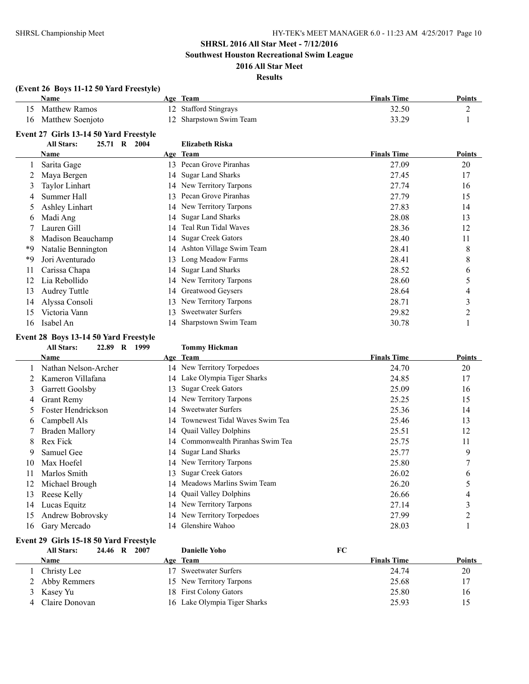L

### **SHRSL 2016 All Star Meet - 7/12/2016**

**Southwest Houston Recreational Swim League**

### **2016 All Star Meet Results**

### **(Event 26 Boys 11-12 50 Yard Freestyle) Name Age Team Finals Time Points** 15 Matthew Ramos 12 Stafford Stingrays 32.50 2 16 Matthew Soenjoto 12 Sharpstown Swim Team 33.29 1 **Event 27 Girls 13-14 50 Yard Freestyle All Stars: 25.71 R 2004 Elizabeth Riska**

|    | ти эшэ.<br>49.II<br>$\mathbf{r}$ | 400T | LIILADULII IXISNA         |                    |        |
|----|----------------------------------|------|---------------------------|--------------------|--------|
|    | Name                             |      | Age Team                  | <b>Finals Time</b> | Points |
|    | Sarita Gage                      | 13.  | Pecan Grove Piranhas      | 27.09              | 20     |
|    | Maya Bergen                      | 14   | <b>Sugar Land Sharks</b>  | 27.45              | 17     |
|    | Taylor Linhart                   |      | 14 New Territory Tarpons  | 27.74              | 16     |
|    | Summer Hall                      | 13.  | Pecan Grove Piranhas      | 27.79              | 15     |
|    | Ashley Linhart                   |      | 14 New Territory Tarpons  | 27.83              | 14     |
| 6  | Madi Ang                         | 14   | <b>Sugar Land Sharks</b>  | 28.08              | 13     |
|    | Lauren Gill                      | 14   | Teal Run Tidal Waves      | 28.36              | 12     |
| 8  | Madison Beauchamp                | 14   | <b>Sugar Creek Gators</b> | 28.40              | 11     |
| *9 | Natalie Bennington               | 14   | Ashton Village Swim Team  | 28.41              | 8      |
| *Q | Jori Aventurado                  | 13   | Long Meadow Farms         | 28.41              | 8      |
|    | Carissa Chapa                    | 14   | <b>Sugar Land Sharks</b>  | 28.52              | 6      |
| 12 | Lia Rebollido                    | 14   | New Territory Tarpons     | 28.60              | 5      |
| 13 | <b>Audrey Tuttle</b>             | 14   | Greatwood Geysers         | 28.64              | 4      |
| 14 | Alyssa Consoli                   | 13   | New Territory Tarpons     | 28.71              | 3      |
| 15 | Victoria Vann                    | 13   | <b>Sweetwater Surfers</b> | 29.82              | 2      |
| 16 | Isabel An                        |      | 14 Sharpstown Swim Team   | 30.78              |        |

#### **Event 28 Boys 13-14 50 Yard Freestyle**

#### **All Stars: 22.89 R 1999 Tommy Hickman**

|    | Name                 |     | Age Team                          | <b>Finals Time</b> | <b>Points</b>  |
|----|----------------------|-----|-----------------------------------|--------------------|----------------|
|    | Nathan Nelson-Archer |     | 14 New Territory Torpedoes        | 24.70              | 20             |
|    | Kameron Villafana    |     | 14 Lake Olympia Tiger Sharks      | 24.85              | 17             |
| 3  | Garrett Goolsby      | 13  | <b>Sugar Creek Gators</b>         | 25.09              | 16             |
| 4  | <b>Grant Remy</b>    |     | 14 New Territory Tarpons          | 25.25              | 15             |
|    | Foster Hendrickson   | 14  | <b>Sweetwater Surfers</b>         | 25.36              | 14             |
| 6  | Campbell Als         |     | 14 Townewest Tidal Waves Swim Tea | 25.46              | 13             |
|    | Braden Mallory       |     | 14 Ouail Valley Dolphins          | 25.51              | 12             |
| 8  | Rex Fick             |     | 14 Commonwealth Piranhas Swim Tea | 25.75              | 11             |
| 9  | Samuel Gee           |     | 14 Sugar Land Sharks              | 25.77              | 9              |
| 10 | Max Hoefel           |     | 14 New Territory Tarpons          | 25.80              | 7              |
| 11 | Marlos Smith         | 13. | <b>Sugar Creek Gators</b>         | 26.02              | 6              |
| 12 | Michael Brough       | 14  | Meadows Marlins Swim Team         | 26.20              |                |
| 13 | Reese Kelly          |     | 14 Quail Valley Dolphins          | 26.66              | 4              |
| 14 | Lucas Equitz         |     | 14 New Territory Tarpons          | 27.14              | 3              |
| 15 | Andrew Bobrovsky     | 14  | New Territory Torpedoes           | 27.99              | $\mathfrak{D}$ |
| 16 | Gary Mercado         | 14  | Glenshire Wahoo                   | 28.03              |                |

### **Event 29 Girls 15-18 50 Yard Freestyle**

| <b>All Stars:</b> | 24.46 R 2007 | <b>Danielle Yoho</b>         | FC                 |        |
|-------------------|--------------|------------------------------|--------------------|--------|
| Name              |              | Age Team                     | <b>Finals Time</b> | Points |
| Christy Lee       |              | 17 Sweetwater Surfers        | 24.74              | 20     |
| 2 Abby Remmers    |              | 15 New Territory Tarpons     | 25.68              |        |
| 3 Kasey Yu        |              | 18 First Colony Gators       | 25.80              | 16     |
| 4 Claire Donovan  |              | 16 Lake Olympia Tiger Sharks | 25.93              | 15     |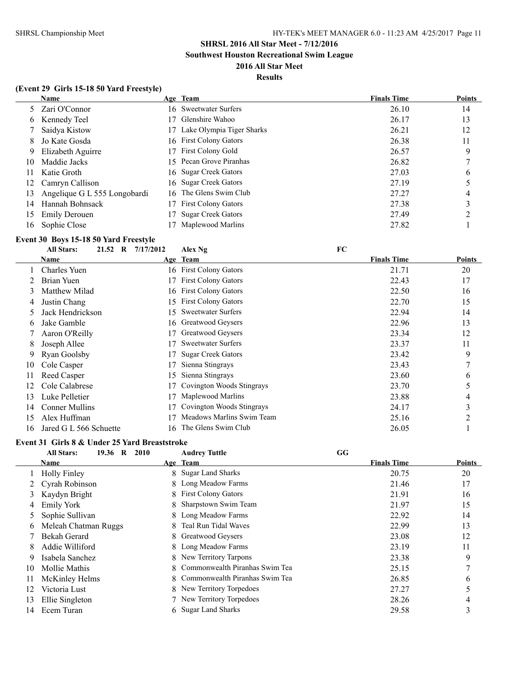**Southwest Houston Recreational Swim League**

### **2016 All Star Meet**

### **Results**

|  |  | (Event 29 Girls 15-18 50 Yard Freestyle) |
|--|--|------------------------------------------|
|--|--|------------------------------------------|

|    | Name                         |     | Age Team                   | <b>Finals Time</b> | <b>Points</b> |
|----|------------------------------|-----|----------------------------|--------------------|---------------|
|    | Zari O'Connor                |     | 16 Sweetwater Surfers      | 26.10              | 14            |
| 6  | Kennedy Teel                 | 17  | Glenshire Wahoo            | 26.17              | 13            |
|    | Saidya Kistow                | 17  | Lake Olympia Tiger Sharks  | 26.21              | 12            |
| 8. | Jo Kate Gosda                |     | 16 First Colony Gators     | 26.38              | 11            |
| 9  | Elizabeth Aguirre            |     | 17 First Colony Gold       | 26.57              | 9             |
| 10 | Maddie Jacks                 | 15. | Pecan Grove Piranhas       | 26.82              |               |
| 11 | Katie Groth                  |     | 16 Sugar Creek Gators      | 27.03              | 6             |
| 12 | Camryn Callison              |     | 16 Sugar Creek Gators      | 27.19              |               |
| 13 | Angelique G L 555 Longobardi |     | 16 The Glens Swim Club     | 27.27              | 4             |
| 14 | Hannah Bohnsack              | 17  | <b>First Colony Gators</b> | 27.38              |               |
| 15 | <b>Emily Derouen</b>         | 17  | <b>Sugar Creek Gators</b>  | 27.49              |               |
| 16 | Sophie Close                 |     | Maplewood Marlins          | 27.82              |               |

#### **Event 30 Boys 15-18 50 Yard Freestyle**

|    | <b>All Stars:</b><br>21.52<br>$\mathbf R$ | 7/17/2012 | Alex Ng                    | FC                 |               |
|----|-------------------------------------------|-----------|----------------------------|--------------------|---------------|
|    | Name                                      |           | Age Team                   | <b>Finals Time</b> | <b>Points</b> |
|    | <b>Charles Yuen</b>                       |           | 16 First Colony Gators     | 21.71              | 20            |
|    | Brian Yuen                                |           | <b>First Colony Gators</b> | 22.43              | 17            |
| 3  | Matthew Milad                             | 16.       | <b>First Colony Gators</b> | 22.50              | 16            |
| 4  | Justin Chang                              | 15        | <b>First Colony Gators</b> | 22.70              | 15            |
| 5  | Jack Hendrickson                          | 15        | <b>Sweetwater Surfers</b>  | 22.94              | 14            |
| 6  | Jake Gamble                               |           | 16 Greatwood Geysers       | 22.96              | 13            |
|    | Aaron O'Reilly                            | 17        | Greatwood Geysers          | 23.34              | 12            |
| 8  | Joseph Allee                              |           | <b>Sweetwater Surfers</b>  | 23.37              | 11            |
| 9  | Ryan Goolsby                              |           | <b>Sugar Creek Gators</b>  | 23.42              | 9             |
| 10 | Cole Casper                               |           | Sienna Stingrays           | 23.43              | 7             |
| 11 | Reed Casper                               | 15        | Sienna Stingrays           | 23.60              | 6             |
| 12 | Cole Calabrese                            |           | Covington Woods Stingrays  | 23.70              | 5             |
| 13 | Luke Pelletier                            |           | Maplewood Marlins          | 23.88              | 4             |
| 14 | <b>Conner Mullins</b>                     |           | Covington Woods Stingrays  | 24.17              | 3             |
| 15 | Alex Huffman                              |           | Meadows Marlins Swim Team  | 25.16              | 2             |
| 16 | Jared G L 566 Schuette                    | 16        | The Glens Swim Club        | 26.05              |               |

#### **Event 31 Girls 8 & Under 25 Yard Breaststroke**

|              | 19.36 R<br><b>All Stars:</b><br>2010 |   | <b>Audrey Tuttle</b>             | GG                 |               |
|--------------|--------------------------------------|---|----------------------------------|--------------------|---------------|
|              | <b>Name</b>                          |   | Age Team                         | <b>Finals Time</b> | <b>Points</b> |
|              | <b>Holly Finley</b>                  |   | 8 Sugar Land Sharks              | 20.75              | 20            |
|              | Cyrah Robinson                       |   | 8 Long Meadow Farms              | 21.46              | 17            |
| 3            | Kaydyn Bright                        |   | 8 First Colony Gators            | 21.91              | 16            |
| 4            | Emily York                           |   | 8 Sharpstown Swim Team           | 21.97              | 15            |
| 5            | Sophie Sullivan                      |   | 8 Long Meadow Farms              | 22.92              | 14            |
| <sub>0</sub> | Meleah Chatman Ruggs                 | 8 | Teal Run Tidal Waves             | 22.99              | 13            |
|              | Bekah Gerard                         |   | 8 Greatwood Geysers              | 23.08              | 12            |
| 8            | Addie Williford                      |   | 8 Long Meadow Farms              | 23.19              | 11            |
| 9            | Isabela Sanchez                      |   | 8 New Territory Tarpons          | 23.38              | 9             |
| 10           | Mollie Mathis                        |   | 8 Commonwealth Piranhas Swim Tea | 25.15              | 7             |
| 11           | McKinley Helms                       |   | 8 Commonwealth Piranhas Swim Tea | 26.85              | 6             |
| 12           | Victoria Lust                        |   | 8 New Territory Torpedoes        | 27.27              | 5             |
| 13           | Ellie Singleton                      |   | 7 New Territory Torpedoes        | 28.26              | 4             |
| 14           | Ecem Turan                           |   | 6 Sugar Land Sharks              | 29.58              | 3             |
|              |                                      |   |                                  |                    |               |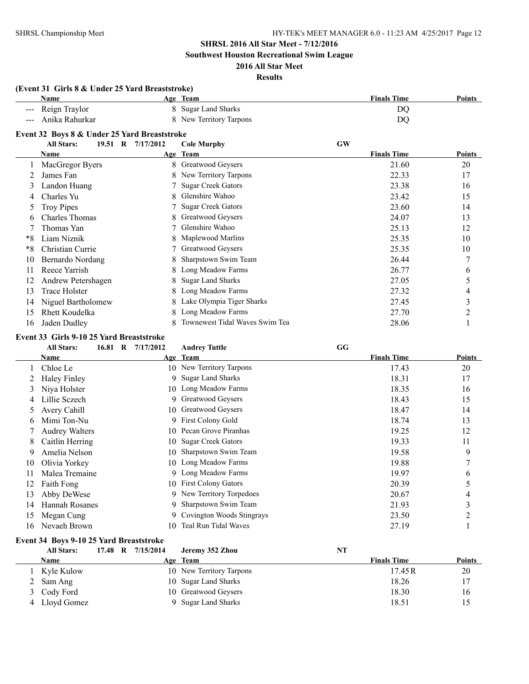**Southwest Houston Recreational Swim League**

### **2016 All Star Meet Results**

### **(Event 31 Girls 8 & Under 25 Yard Breaststroke) Name Age Team Finals Time Points** --- Reign Traylor 8 Sugar Land Sharks DQ --- Anika Rahurkar 8 New Territory Tarpons DQ **Event 32 Boys 8 & Under 25 Yard Breaststroke All Stars: 19.51 R 7/17/2012 Cole Murphy GW Age Team Age Team Finals Time Points** 1 MacGregor Byers 8 Greatwood Geysers 21.60 20 2 James Fan 8 New Territory Tarpons 22.33 17 3 Landon Huang 7 Sugar Creek Gators 23.38 16 4 Charles Yu 8 Glenshire Wahoo 23.42 15 5 Troy Pipes 7 Sugar Creek Gators 23.60 14 6 Charles Thomas 8 Greatwood Geysers 24.07 13 7 Thomas Yan 7 Glenshire Wahoo 25.13 12 \*8 Liam Niznik 8 Maplewood Marlins 25.35 10 \*8 Christian Currie 25.35 10 10 Bernardo Nordang 8 Sharpstown Swim Team 26.44 7 11 Reece Yarrish 8 Long Meadow Farms 26.77 6 12 Andrew Petershagen 8 Sugar Land Sharks 27.05 5 13 Trace Holster 8 Long Meadow Farms 27.32 4 14 Niguel Bartholomew 8 Lake Olympia Tiger Sharks 27.45 3 15 Rhett Koudelka 8 Long Meadow Farms 27.70 27.70 2 16 Jaden Dudley 8 Townewest Tidal Waves Swim Tea 28.06 28.06 1

#### **Event 33 Girls 9-10 25 Yard Breaststroke**

|    | <b>All Stars:</b>     | 16.81 R | 7/17/2012 | <b>Audrey Tuttle</b>       | GG                 |               |
|----|-----------------------|---------|-----------|----------------------------|--------------------|---------------|
|    | Name                  |         |           | Age Team                   | <b>Finals Time</b> | <b>Points</b> |
|    | Chloe Le              |         |           | 10 New Territory Tarpons   | 17.43              | 20            |
|    | <b>Haley Finley</b>   |         | 9.        | <b>Sugar Land Sharks</b>   | 18.31              | 17            |
| 3  | Niya Holster          |         |           | 10 Long Meadow Farms       | 18.35              | 16            |
| 4  | Lillie Sczech         |         | 9.        | Greatwood Geysers          | 18.43              | 15            |
| 5  | Avery Cahill          |         | 10-       | Greatwood Geysers          | 18.47              | 14            |
| 6  | Mimi Ton-Nu           |         | 9         | <b>First Colony Gold</b>   | 18.74              | 13            |
|    | <b>Audrey Walters</b> |         | 10.       | Pecan Grove Piranhas       | 19.25              | 12            |
| 8  | Caitlin Herring       |         | 10        | <b>Sugar Creek Gators</b>  | 19.33              | 11            |
| 9  | Amelia Nelson         |         | 10        | Sharpstown Swim Team       | 19.58              | 9             |
| 10 | Olivia Yorkey         |         | 10-       | Long Meadow Farms          | 19.88              |               |
| 11 | Malea Tremaine        |         | 9.        | Long Meadow Farms          | 19.97              | 6             |
| 12 | Faith Fong            |         | 10-       | <b>First Colony Gators</b> | 20.39              | 5             |
| 13 | Abby DeWese           |         | 9         | New Territory Torpedoes    | 20.67              | 4             |
| 14 | Hannah Rosanes        |         |           | Sharpstown Swim Team       | 21.93              | ∍<br>C.       |
| 15 | Megan Cung            |         |           | Covington Woods Stingrays  | 23.50              | 2             |
| 16 | Nevaeh Brown          |         | 10        | Teal Run Tidal Waves       | 27.19              |               |

### **Event 34 Boys 9-10 25 Yard Breaststroke**

| <b>All Stars:</b> | 17.48 R 7/15/2014 | Jeremy 352 Zhou          | NT |                    |               |
|-------------------|-------------------|--------------------------|----|--------------------|---------------|
| Name              |                   | Age Team                 |    | <b>Finals Time</b> | <b>Points</b> |
| Kyle Kulow        |                   | 10 New Territory Tarpons |    | 17.45 R            | 20            |
| 2 Sam Ang         |                   | 10 Sugar Land Sharks     |    | 18.26              | 17            |
| 3 Cody Ford       |                   | 10 Greatwood Geysers     |    | 18.30              | 16            |
| 4 Lloyd Gomez     |                   | Sugar Land Sharks        |    | 18.51              |               |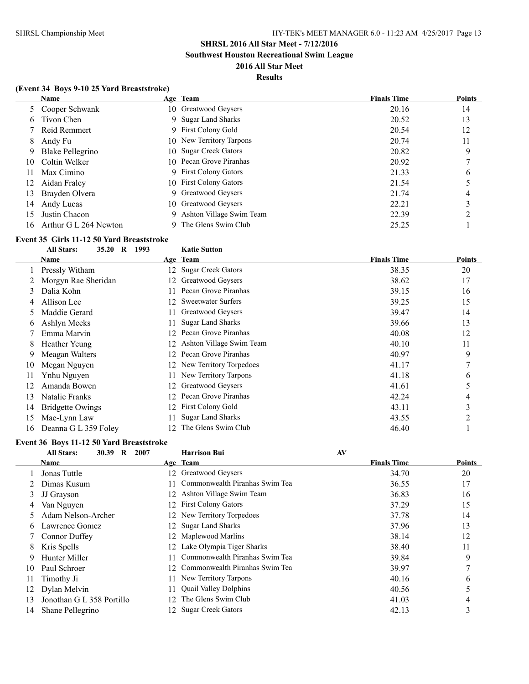**Southwest Houston Recreational Swim League**

### **2016 All Star Meet Results**

### **(Event 34 Boys 9-10 25 Yard Breaststroke)**

|     | <b>Name</b>           |     | Age Team                  | <b>Finals Time</b> | <b>Points</b> |
|-----|-----------------------|-----|---------------------------|--------------------|---------------|
|     | 5 Cooper Schwank      |     | 10 Greatwood Geysers      | 20.16              | 14            |
| 6   | Tivon Chen            |     | 9 Sugar Land Sharks       | 20.52              | 13            |
|     | Reid Remmert          | 9   | <b>First Colony Gold</b>  | 20.54              | 12            |
| 8   | Andy Fu               |     | 10 New Territory Tarpons  | 20.74              | 11            |
| 9   | Blake Pellegrino      | 10. | <b>Sugar Creek Gators</b> | 20.82              | 9             |
| 10  | Coltin Welker         |     | 10 Pecan Grove Piranhas   | 20.92              |               |
| 11  | Max Cimino            |     | 9 First Colony Gators     | 21.33              | 6             |
| 12  | Aidan Fraley          |     | 10 First Colony Gators    | 21.54              |               |
| 13  | Brayden Olvera        | 9.  | Greatwood Geysers         | 21.74              | 4             |
| 14  | Andy Lucas            | 10- | Greatwood Geysers         | 22.21              |               |
| 15  | Justin Chacon         | 9   | Ashton Village Swim Team  | 22.39              |               |
| 16. | Arthur G L 264 Newton |     | The Glens Swim Club       | 25.25              |               |

#### **Event 35 Girls 11-12 50 Yard Breaststroke**

|    | <b>All Stars:</b><br>35.20 R<br>1993 |    | <b>Katie Sutton</b>       |                    |        |
|----|--------------------------------------|----|---------------------------|--------------------|--------|
|    | Name                                 |    | Age Team                  | <b>Finals Time</b> | Points |
|    | Pressly Witham                       | 12 | <b>Sugar Creek Gators</b> | 38.35              | 20     |
|    | Morgyn Rae Sheridan                  | 12 | Greatwood Geysers         | 38.62              | 17     |
| 3  | Dalia Kohn                           |    | Pecan Grove Piranhas      | 39.15              | 16     |
|    | Allison Lee                          | 12 | <b>Sweetwater Surfers</b> | 39.25              | 15     |
| C. | Maddie Gerard                        |    | Greatwood Geysers         | 39.47              | 14     |
| 6  | Ashlyn Meeks                         |    | <b>Sugar Land Sharks</b>  | 39.66              | 13     |
|    | Emma Marvin                          | 12 | Pecan Grove Piranhas      | 40.08              | 12     |
| 8  | Heather Yeung                        | 12 | Ashton Village Swim Team  | 40.10              | 11     |
| 9  | Meagan Walters                       | 12 | Pecan Grove Piranhas      | 40.97              | 9      |
| 10 | Megan Nguyen                         |    | New Territory Torpedoes   | 41.17              | 7      |
|    | Ynhu Nguyen                          |    | New Territory Tarpons     | 41.18              | 6      |
| 12 | Amanda Bowen                         | 12 | Greatwood Geysers         | 41.61              | 5      |
| 13 | Natalie Franks                       |    | Pecan Grove Piranhas      | 42.24              | 4      |
| 14 | <b>Bridgette Owings</b>              |    | <b>First Colony Gold</b>  | 43.11              | 3      |
| 15 | Mae-Lynn Law                         |    | <b>Sugar Land Sharks</b>  | 43.55              | 2      |
| 16 | Deanna G L 359 Foley                 |    | The Glens Swim Club       | 46.40              |        |

### **Event 36 Boys 11-12 50 Yard Breaststroke**

|    | $\mathbf R$<br><b>All Stars:</b><br>30.39<br>2007 | <b>Harrison Bui</b>                   | AV                 |               |
|----|---------------------------------------------------|---------------------------------------|--------------------|---------------|
|    | Name                                              | Age Team                              | <b>Finals Time</b> | <b>Points</b> |
|    | Jonas Tuttle                                      | Greatwood Geysers<br>12.              | 34.70              | 20            |
|    | Dimas Kusum                                       | Commonwealth Piranhas Swim Tea<br>11. | 36.55              | 17            |
| 3  | JJ Grayson                                        | Ashton Village Swim Team<br>12.       | 36.83              | 16            |
| 4  | Van Nguyen                                        | 12 First Colony Gators                | 37.29              | 15            |
| 5  | Adam Nelson-Archer                                | 12 New Territory Torpedoes            | 37.78              | 14            |
| 6  | Lawrence Gomez                                    | 12 Sugar Land Sharks                  | 37.96              | 13            |
|    | Connor Duffey                                     | 12 Maplewood Marlins                  | 38.14              | 12            |
| 8  | Kris Spells                                       | Lake Olympia Tiger Sharks<br>12.      | 38.40              | 11            |
| 9  | Hunter Miller                                     | Commonwealth Piranhas Swim Tea<br>11  | 39.84              | 9             |
| 10 | Paul Schroer                                      | Commonwealth Piranhas Swim Tea<br>12. | 39.97              | 7             |
| 11 | Timothy Ji                                        | New Territory Tarpons                 | 40.16              | 6             |
| 12 | Dylan Melvin                                      | <b>Quail Valley Dolphins</b><br>11.   | 40.56              | 5             |
| 13 | Jonothan G L 358 Portillo                         | The Glens Swim Club<br>12             | 41.03              | 4             |
| 14 | Shane Pellegrino                                  | <b>Sugar Creek Gators</b><br>12.      | 42.13              | 3             |
|    |                                                   |                                       |                    |               |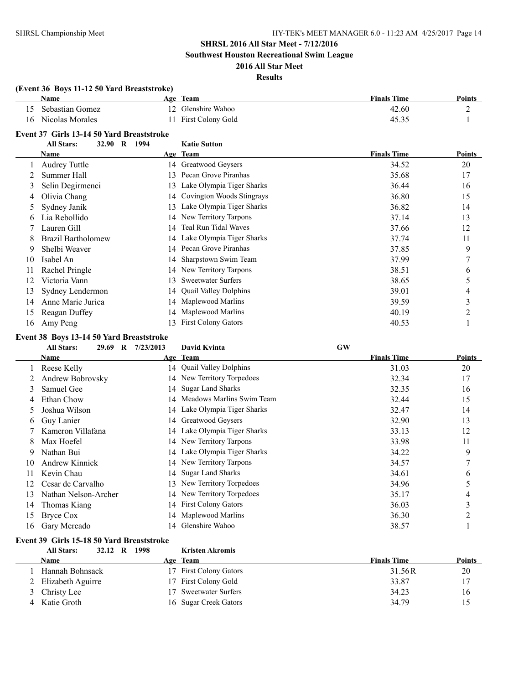**Southwest Houston Recreational Swim League**

### **2016 All Star Meet Results**

### **(Event 36 Boys 11-12 50 Yard Breaststroke) Name Age Team Finals Time Points**  Sebastian Gomez 12 Glenshire Wahoo 42.60 2 16 Nicolas Morales 11 First Colony Gold 45.35 1

### **Event 37 Girls 13-14 50 Yard Breaststroke**

|    | 32.90<br><b>All Stars:</b> | $\bf{R}$<br>1994 | <b>Katie Sutton</b>          |                    |        |
|----|----------------------------|------------------|------------------------------|--------------------|--------|
|    | Name                       |                  | Age Team                     | <b>Finals Time</b> | Points |
|    | <b>Audrey Tuttle</b>       |                  | 14 Greatwood Geysers         | 34.52              | 20     |
|    | Summer Hall                | 13.              | Pecan Grove Piranhas         | 35.68              | 17     |
| 3  | Selin Degirmenci           |                  | 13 Lake Olympia Tiger Sharks | 36.44              | 16     |
| 4  | Olivia Chang               |                  | 14 Covington Woods Stingrays | 36.80              | 15     |
| 5. | Sydney Janik               | 13.              | Lake Olympia Tiger Sharks    | 36.82              | 14     |
| 6  | Lia Rebollido              |                  | 14 New Territory Tarpons     | 37.14              | 13     |
|    | Lauren Gill                |                  | 14 Teal Run Tidal Waves      | 37.66              | 12     |
| 8  | <b>Brazil Bartholomew</b>  |                  | 14 Lake Olympia Tiger Sharks | 37.74              | 11     |
| 9  | Shelbi Weaver              |                  | 14 Pecan Grove Piranhas      | 37.85              | 9      |
| 10 | Isabel An                  |                  | 14 Sharpstown Swim Team      | 37.99              | ┑      |
| 11 | Rachel Pringle             |                  | 14 New Territory Tarpons     | 38.51              | 6      |
| 12 | Victoria Vann              | 13               | <b>Sweetwater Surfers</b>    | 38.65              | 5      |
| 13 | Sydney Lendermon           |                  | 14 Quail Valley Dolphins     | 39.01              | 4      |
| 14 | Anne Marie Jurica          |                  | 14 Maplewood Marlins         | 39.59              | 3      |
| 15 | Reagan Duffey              |                  | 14 Maplewood Marlins         | 40.19              | 2      |
| 16 | Amy Peng                   |                  | 13 First Colony Gators       | 40.53              |        |

#### **Event 38 Boys 13-14 50 Yard Breaststroke**

|    | <b>All Stars:</b><br>29.69<br>$\mathbf{R}$ | 7/23/2013 | <b>David Kvinta</b>          | <b>GW</b>          |               |
|----|--------------------------------------------|-----------|------------------------------|--------------------|---------------|
|    | Name                                       |           | Age Team                     | <b>Finals Time</b> | <b>Points</b> |
|    | Reese Kelly                                |           | 14 Quail Valley Dolphins     | 31.03              | 20            |
|    | Andrew Bobrovsky                           |           | 14 New Territory Torpedoes   | 32.34              | 17            |
| 3  | Samuel Gee                                 | 14        | <b>Sugar Land Sharks</b>     | 32.35              | 16            |
| 4  | Ethan Chow                                 | 14        | Meadows Marlins Swim Team    | 32.44              | 15            |
|    | Joshua Wilson                              |           | 14 Lake Olympia Tiger Sharks | 32.47              | 14            |
| 6  | Guy Lanier                                 |           | 14 Greatwood Geysers         | 32.90              | 13            |
|    | Kameron Villafana                          |           | 14 Lake Olympia Tiger Sharks | 33.13              | 12            |
| 8  | Max Hoefel                                 |           | 14 New Territory Tarpons     | 33.98              | 11            |
| 9  | Nathan Bui                                 |           | 14 Lake Olympia Tiger Sharks | 34.22              | 9             |
| 10 | <b>Andrew Kinnick</b>                      |           | 14 New Territory Tarpons     | 34.57              |               |
| 11 | Kevin Chau                                 |           | 14 Sugar Land Sharks         | 34.61              | 6             |
| 12 | Cesar de Carvalho                          | 13        | New Territory Torpedoes      | 34.96              | 5             |
| 13 | Nathan Nelson-Archer                       | 14        | New Territory Torpedoes      | 35.17              | 4             |
| 14 | Thomas Kiang                               |           | 14 First Colony Gators       | 36.03              | ∍             |
| 15 | Bryce Cox                                  |           | 14 Maplewood Marlins         | 36.30              |               |
| 16 | Gary Mercado                               | 14        | Glenshire Wahoo              | 38.57              |               |

#### **Event 39 Girls 15-18 50 Yard Breaststroke All Stars: 32.12 R 1998 Kristen Akromis**

| <b>Finals Time</b> | <b>Points</b> |
|--------------------|---------------|
| 31.56R             | 20            |
| 33.87              | 17            |
| 34.23              | 16            |
| 34.79              | 15            |
|                    |               |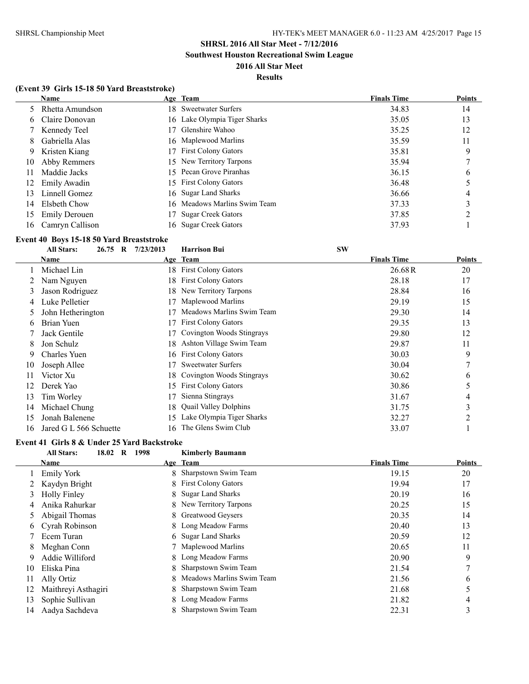**Southwest Houston Recreational Swim League**

### **2016 All Star Meet**

### **Results**

### **(Event 39 Girls 15-18 50 Yard Breaststroke)**

|     | <b>Name</b>          | Age Team                     | <b>Finals Time</b> | <b>Points</b> |
|-----|----------------------|------------------------------|--------------------|---------------|
|     | 5 Rhetta Amundson    | 18 Sweetwater Surfers        | 34.83              | 14            |
|     | 6 Claire Donovan     | 16 Lake Olympia Tiger Sharks | 35.05              | 13            |
|     | 7 Kennedy Teel       | Glenshire Wahoo              | 35.25              | 12            |
| 8   | Gabriella Alas       | 16 Maplewood Marlins         | 35.59              | 11            |
| 9   | Kristen Kiang        | 17 First Colony Gators       | 35.81              | 9             |
| 10  | Abby Remmers         | 15 New Territory Tarpons     | 35.94              |               |
| 11  | Maddie Jacks         | 15 Pecan Grove Piranhas      | 36.15              | 6             |
| 12  | Emily Awadin         | 15 First Colony Gators       | 36.48              |               |
| 13  | Linnell Gomez        | 16 Sugar Land Sharks         | 36.66              | 4             |
| 14  | Elsbeth Chow         | 16 Meadows Marlins Swim Team | 37.33              |               |
| 15  | <b>Emily Derouen</b> | <b>Sugar Creek Gators</b>    | 37.85              | ∍             |
| 16. | Camryn Callison      | 16 Sugar Creek Gators        | 37.93              |               |

## **Event 40 Boys 15-18 50 Yard Breaststroke**

|               | <b>All Stars:</b><br>26.75 R | 7/23/2013 | <b>Harrison Bui</b>          | <b>SW</b>          |        |
|---------------|------------------------------|-----------|------------------------------|--------------------|--------|
|               | Name                         |           | Age Team                     | <b>Finals Time</b> | Points |
|               | Michael Lin                  |           | 18 First Colony Gators       | 26.68R             | 20     |
|               | Nam Nguyen                   | 18        | <b>First Colony Gators</b>   | 28.18              | 17     |
| 3             | Jason Rodriguez              | 18        | New Territory Tarpons        | 28.84              | 16     |
|               | Luke Pelletier               |           | Maplewood Marlins            | 29.19              | 15     |
| $\mathcal{L}$ | John Hetherington            |           | Meadows Marlins Swim Team    | 29.30              | 14     |
| 6             | Brian Yuen                   | 17        | <b>First Colony Gators</b>   | 29.35              | 13     |
|               | Jack Gentile                 | 17        | Covington Woods Stingrays    | 29.80              | 12     |
| 8             | Jon Schulz                   | 18        | Ashton Village Swim Team     | 29.87              | 11     |
| 9             | <b>Charles Yuen</b>          | 16.       | <b>First Colony Gators</b>   | 30.03              | 9      |
| 10            | Joseph Allee                 |           | <b>Sweetwater Surfers</b>    | 30.04              | 7      |
| 11            | Victor Xu                    | 18.       | Covington Woods Stingrays    | 30.62              | 6      |
| 12            | Derek Yao                    | 15        | <b>First Colony Gators</b>   | 30.86              | 5      |
| 13            | Tim Worley                   | 17        | Sienna Stingrays             | 31.67              | 4      |
| 14            | Michael Chung                | 18.       | <b>Quail Valley Dolphins</b> | 31.75              | 3      |
| 15            | Jonah Balenene               | 15        | Lake Olympia Tiger Sharks    | 32.27              | 2      |
| 16            | Jared G L 566 Schuette       | 16        | The Glens Swim Club          | 33.07              |        |

# **Event 41 Girls 8 & Under 25 Yard Backstroke**<br>All Stars: **18.02 R 1998**

### **All Stars: 18.02 R 1998 Kimberly Baumann**

| Name                |                           | <b>Finals Time</b>                                                                                                                                                                                                                                                                                                                  | <b>Points</b> |
|---------------------|---------------------------|-------------------------------------------------------------------------------------------------------------------------------------------------------------------------------------------------------------------------------------------------------------------------------------------------------------------------------------|---------------|
| <b>Emily York</b>   |                           | 19.15                                                                                                                                                                                                                                                                                                                               | 20            |
| Kaydyn Bright       |                           | 19.94                                                                                                                                                                                                                                                                                                                               | 17            |
| <b>Holly Finley</b> |                           | 20.19                                                                                                                                                                                                                                                                                                                               | 16            |
| Anika Rahurkar      |                           | 20.25                                                                                                                                                                                                                                                                                                                               | 15            |
| Abigail Thomas      |                           | 20.35                                                                                                                                                                                                                                                                                                                               | 14            |
| Cyrah Robinson      |                           | 20.40                                                                                                                                                                                                                                                                                                                               | 13            |
| Ecem Turan          |                           | 20.59                                                                                                                                                                                                                                                                                                                               | 12            |
| Meghan Conn         |                           | 20.65                                                                                                                                                                                                                                                                                                                               | 11            |
| Addie Williford     |                           | 20.90                                                                                                                                                                                                                                                                                                                               | 9             |
| Eliska Pina         |                           | 21.54                                                                                                                                                                                                                                                                                                                               | 7             |
| Ally Ortiz          | Meadows Marlins Swim Team | 21.56                                                                                                                                                                                                                                                                                                                               | 6             |
| Maithreyi Asthagiri |                           | 21.68                                                                                                                                                                                                                                                                                                                               | 5             |
| Sophie Sullivan     |                           | 21.82                                                                                                                                                                                                                                                                                                                               | 4             |
| Aadya Sachdeva      |                           | 22.31                                                                                                                                                                                                                                                                                                                               | 3             |
|                     |                           | Age Team<br>8 Sharpstown Swim Team<br>8 First Colony Gators<br>8 Sugar Land Sharks<br>8 New Territory Tarpons<br>8 Greatwood Geysers<br>8 Long Meadow Farms<br>6 Sugar Land Sharks<br>7 Maplewood Marlins<br>8 Long Meadow Farms<br>8 Sharpstown Swim Team<br>8 Sharpstown Swim Team<br>8 Long Meadow Farms<br>Sharpstown Swim Team |               |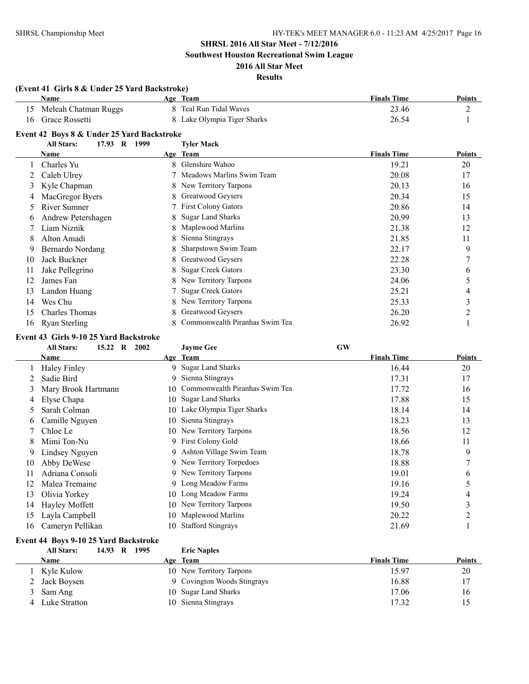**Southwest Houston Recreational Swim League**

### **2016 All Star Meet Results**

### **(Event 41 Girls 8 & Under 25 Yard Backstroke) Name Age Team Finals Time Points** 15 Meleah Chatman Ruggs 8 Teal Run Tidal Waves 23.46 2 16 Grace Rossetti 8 Lake Olympia Tiger Sharks 26.54 1 **Event 42 Boys 8 & Under 25 Yard Backstroke All Stars: 17.93 R 1999 Tyler Mack Age Team Age Team Finals Time Points** 1 Charles Yu 8 Glenshire Wahoo 19.21 20 2 Caleb Ulrey 7 Meadows Marlins Swim Team 20.08 17 3 Kyle Chapman 8 New Territory Tarpons 20.13 16 4 MacGregor Byers 8 Greatwood Geysers 20.34 15 5 River Sumner 7 First Colony Gators 20.86 14 6 Andrew Petershagen 8 Sugar Land Sharks 20.99 13 7 Liam Niznik 8 Maplewood Marlins 21.38 12 8 Alton Amadi 8 Sienna Stingrays 21.85 11 9 Bernardo Nordang 8 Sharpstown Swim Team 22.17 9 10 Jack Buckner 8 Greatwood Geysers 22.28 7 11 Jake Pellegrino 8 Sugar Creek Gators 23.30 6 12 James Fan 8 New Territory Tarpons 24.06 5 13 Landon Huang 25.21 2012 7 Sugar Creek Gators 25.21 25.21 25.21 4 14 Wes Chu 8 New Territory Tarpons 25.33 3 3 15 Charles Thomas 8 Greatwood Geysers 26.20 26.20 2

### **Event 43 Girls 9-10 25 Yard Backstroke**

|    | 15.22 R<br><b>All Stars:</b><br>2002 |     | <b>Jayme Gee</b>               | <b>GW</b>          |               |
|----|--------------------------------------|-----|--------------------------------|--------------------|---------------|
|    | Name                                 |     | Age Team                       | <b>Finals Time</b> | <b>Points</b> |
|    | <b>Haley Finley</b>                  | 9.  | <b>Sugar Land Sharks</b>       | 16.44              | 20            |
|    | Sadie Bird                           | 9.  | Sienna Stingrays               | 17.31              | 17            |
| 3  | Mary Brook Hartmann                  | 10. | Commonwealth Piranhas Swim Tea | 17.72              | 16            |
| 4  | Elyse Chapa                          | 10. | <b>Sugar Land Sharks</b>       | 17.88              | 15            |
| 5  | Sarah Colman                         | 10. | Lake Olympia Tiger Sharks      | 18.14              | 14            |
| 6  | Camille Nguyen                       | 10  | Sienna Stingrays               | 18.23              | 13            |
|    | Chloe Le                             |     | 10 New Territory Tarpons       | 18.56              | 12            |
| 8  | Mimi Ton-Nu                          | 9   | <b>First Colony Gold</b>       | 18.66              | 11            |
| 9  | Lindsey Nguyen                       | 9   | Ashton Village Swim Team       | 18.78              | 9             |
| 10 | Abby DeWese                          |     | 9 New Territory Torpedoes      | 18.88              | 7             |
| 11 | Adriana Consoli                      |     | 9 New Territory Tarpons        | 19.01              | 6             |
| 12 | Malea Tremaine                       | 9   | Long Meadow Farms              | 19.16              | 5             |
| 13 | Olivia Yorkey                        | 10  | Long Meadow Farms              | 19.24              | 4             |
| 14 | Hayley Moffett                       | 10  | New Territory Tarpons          | 19.50              | 3             |
| 15 | Layla Campbell                       | 10  | Maplewood Marlins              | 20.22              | 2             |
| 16 | Cameryn Pellikan                     | 10  | <b>Stafford Stingrays</b>      | 21.69              |               |

16 Ryan Sterling 8 Commonwealth Piranhas Swim Tea 26.92 1

#### **Event 44 Boys 9-10 25 Yard Backstroke All Stars: 14.93 R 1995 Eric Naples**

| Ан эмгэ.        | 14.79 N 1773 | ение гуарису                |                    |        |
|-----------------|--------------|-----------------------------|--------------------|--------|
| Name            |              | Age Team                    | <b>Finals Time</b> | Points |
| Kyle Kulow      |              | 10 New Territory Tarpons    | 15.97              | 20     |
| 2 Jack Boysen   |              | 9 Covington Woods Stingrays | 16.88              |        |
| Sam Ang         |              | 10 Sugar Land Sharks        | 17.06              | 16     |
| 4 Luke Stratton |              | 10 Sienna Stingrays         | 17.32              | 15     |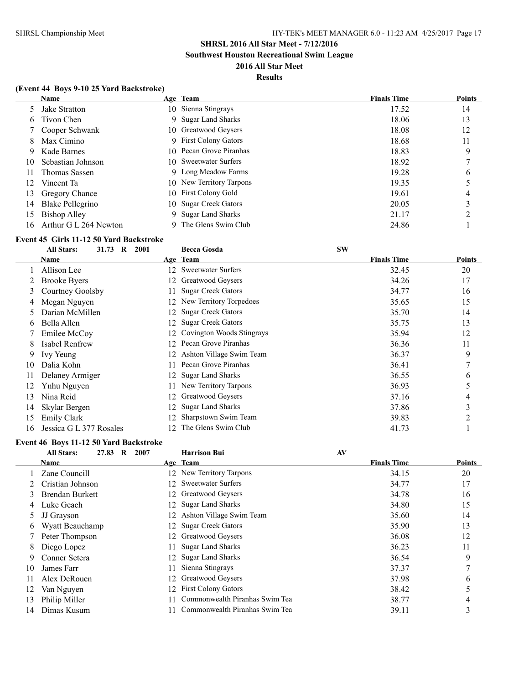**Southwest Houston Recreational Swim League**

### **2016 All Star Meet Results**

### **(Event 44 Boys 9-10 25 Yard Backstroke)**

|     | <b>Name</b>           |    | Age Team                 | <b>Finals Time</b> | <b>Points</b> |
|-----|-----------------------|----|--------------------------|--------------------|---------------|
|     | Jake Stratton         |    | 10 Sienna Stingrays      | 17.52              | 14            |
| 6   | Tivon Chen            | 9. | <b>Sugar Land Sharks</b> | 18.06              | 13            |
|     | Cooper Schwank        |    | 10 Greatwood Geysers     | 18.08              | 12            |
| 8   | Max Cimino            |    | 9 First Colony Gators    | 18.68              | 11            |
| 9   | Kade Barnes           |    | 10 Pecan Grove Piranhas  | 18.83              | 9             |
| 10  | Sebastian Johnson     |    | 10 Sweetwater Surfers    | 18.92              | ┑             |
| 11  | Thomas Sassen         |    | 9 Long Meadow Farms      | 19.28              | b             |
| 12  | Vincent Ta            |    | 10 New Territory Tarpons | 19.35              |               |
| 13  | Gregory Chance        |    | 10 First Colony Gold     | 19.61              | 4             |
| 14  | Blake Pellegrino      |    | 10 Sugar Creek Gators    | 20.05              | 3             |
| 15  | Bishop Alley          |    | 9 Sugar Land Sharks      | 21.17              | ∍             |
| 16. | Arthur G L 264 Newton |    | The Glens Swim Club      | 24.86              |               |

#### **Event 45 Girls 11-12 50 Yard Backstroke**

|    | 31.73<br><b>All Stars:</b><br>$\bf{R}$<br>2001 |     | <b>Becca Gosda</b>        | <b>SW</b>          |                |
|----|------------------------------------------------|-----|---------------------------|--------------------|----------------|
|    | Name                                           |     | Age Team                  | <b>Finals Time</b> | Points         |
|    | Allison Lee                                    | 12. | <b>Sweetwater Surfers</b> | 32.45              | 20             |
|    | <b>Brooke Byers</b>                            | 12. | Greatwood Geysers         | 34.26              | 17             |
| 3. | Courtney Goolsby                               | 11. | <b>Sugar Creek Gators</b> | 34.77              | 16             |
|    | Megan Nguyen                                   | 12  | New Territory Torpedoes   | 35.65              | 15             |
| 5. | Darian McMillen                                | 12  | <b>Sugar Creek Gators</b> | 35.70              | 14             |
| 6  | Bella Allen                                    | 12. | <b>Sugar Creek Gators</b> | 35.75              | 13             |
|    | Emilee McCoy                                   | 12  | Covington Woods Stingrays | 35.94              | 12             |
| 8. | Isabel Renfrew                                 | 12. | Pecan Grove Piranhas      | 36.36              | 11             |
| 9  | Ivy Yeung                                      | 12  | Ashton Village Swim Team  | 36.37              | 9              |
| 10 | Dalia Kohn                                     | 11. | Pecan Grove Piranhas      | 36.41              | 7              |
| 11 | Delaney Armiger                                | 12  | <b>Sugar Land Sharks</b>  | 36.55              | 6              |
| 12 | Ynhu Nguyen                                    |     | New Territory Tarpons     | 36.93              | 5              |
| 13 | Nina Reid                                      | 12. | Greatwood Geysers         | 37.16              | $\overline{4}$ |
| 14 | Skylar Bergen                                  | 12. | <b>Sugar Land Sharks</b>  | 37.86              | 3              |
| 15 | <b>Emily Clark</b>                             |     | Sharpstown Swim Team      | 39.83              | 2              |
| 16 | Jessica G L 377 Rosales                        | 12. | The Glens Swim Club       | 41.73              |                |

### **Event 46 Boys 11-12 50 Yard Backstroke**

 $\sim$ 

|    | 27.83 R<br><b>All Stars:</b><br>2007 |     | <b>Harrison Bui</b>            | AV                 |               |
|----|--------------------------------------|-----|--------------------------------|--------------------|---------------|
|    | <b>Name</b>                          |     | Age Team                       | <b>Finals Time</b> | <b>Points</b> |
|    | Zane Councill                        |     | 12 New Territory Tarpons       | 34.15              | 20            |
|    | Cristian Johnson                     | 12. | <b>Sweetwater Surfers</b>      | 34.77              | 17            |
|    | <b>Brendan Burkett</b>               | 12  | Greatwood Geysers              | 34.78              | 16            |
|    | Luke Geach                           | 12. | <b>Sugar Land Sharks</b>       | 34.80              | 15            |
|    | JJ Grayson                           |     | Ashton Village Swim Team       | 35.60              | 14            |
| 6. | Wyatt Beauchamp                      | 12  | <b>Sugar Creek Gators</b>      | 35.90              | 13            |
|    | Peter Thompson                       | 12  | Greatwood Geysers              | 36.08              | 12            |
| 8  | Diego Lopez                          |     | <b>Sugar Land Sharks</b>       | 36.23              | 11            |
| 9  | Conner Setera                        |     | 12 Sugar Land Sharks           | 36.54              | 9             |
| 10 | James Farr                           | 11  | Sienna Stingrays               | 37.37              | 7             |
|    | Alex DeRouen                         | 12. | Greatwood Geysers              | 37.98              | 6             |
| 12 | Van Nguyen                           | 12. | <b>First Colony Gators</b>     | 38.42              | 5             |
| 13 | Philip Miller                        |     | Commonwealth Piranhas Swim Tea | 38.77              | 4             |
| 14 | Dimas Kusum                          |     | Commonwealth Piranhas Swim Tea | 39.11              | 3             |
|    |                                      |     |                                |                    |               |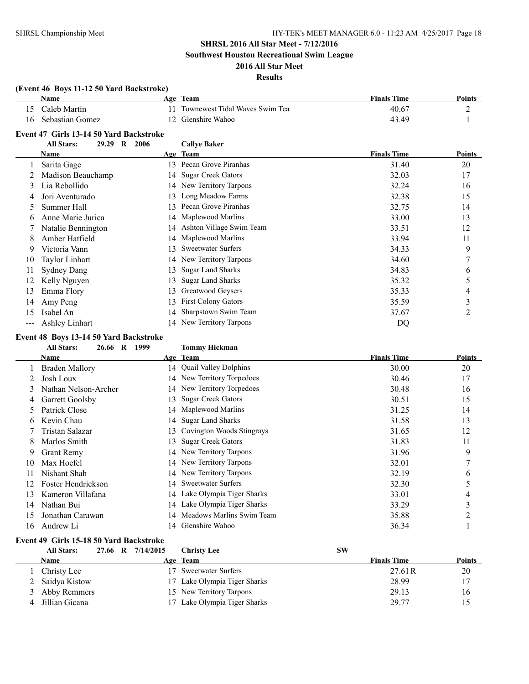**Southwest Houston Recreational Swim League**

### **2016 All Star Meet Results**

### **(Event 46 Boys 11-12 50 Yard Backstroke) Name Age Team Finals Time Points** 15 Caleb Martin 11 Townewest Tidal Waves Swim Tea 40.67 2 16 Sebastian Gomez 12 Glenshire Wahoo 1 and 43.49 1 **Event 47 Girls 13-14 50 Yard Backstroke All Stars: 29.29 R 2006 Callye Baker Age Team Age Team Finals Time Points** 1 Sarita Gage 13 Pecan Grove Piranhas 31.40 20 2 Madison Beauchamp 14 Sugar Creek Gators 32.03 17 3 Lia Rebollido 14 New Territory Tarpons 32.24 16 4 Jori Aventurado 13 Long Meadow Farms 32.38 15 5 Summer Hall 13 Pecan Grove Piranhas 32.75 14 6 Anne Marie Jurica 14 Maplewood Marlins 33.00 13 7 Natalie Bennington 14 Ashton Village Swim Team 33.51 12 8 Amber Hatfield 14 Maplewood Marlins 33.94 11 9 Victoria Vann 13 Sweetwater Surfers 34.33 9 10 Taylor Linhart 14 New Territory Tarpons 34.60 34.60 7 11 Sydney Dang 13 Sugar Land Sharks 34.83 6 12 Kelly Nguyen 13 Sugar Land Sharks 35.32 5 13 Emma Flory 13 Greatwood Geysers 35.33 4 14 Amy Peng 13 First Colony Gators 35.59 35.59 3 15 Isabel An 14 Sharpstown Swim Team 37.67 2

#### **Event 48 Boys 13-14 50 Yard Backstroke**

#### **All Stars: 26.66 R 1999 Tommy Hickman**

--- Ashley Linhart 14 New Territory Tarpons DQ

|    | <b>Name</b>           |     | Age Team                     | <b>Finals Time</b> | Points |
|----|-----------------------|-----|------------------------------|--------------------|--------|
|    | <b>Braden Mallory</b> |     | 14 Quail Valley Dolphins     | 30.00              | 20     |
|    | Josh Loux             |     | 14 New Territory Torpedoes   | 30.46              | 17     |
| 3  | Nathan Nelson-Archer  |     | 14 New Territory Torpedoes   | 30.48              | 16     |
| 4  | Garrett Goolsby       | 13. | <b>Sugar Creek Gators</b>    | 30.51              | 15     |
| 5. | Patrick Close         |     | 14 Maplewood Marlins         | 31.25              | 14     |
| 6  | Kevin Chau            |     | 14 Sugar Land Sharks         | 31.58              | 13     |
|    | Tristan Salazar       | 13  | Covington Woods Stingrays    | 31.65              | 12     |
| 8  | Marlos Smith          | 13. | <b>Sugar Creek Gators</b>    | 31.83              | 11     |
| 9  | <b>Grant Remy</b>     |     | 14 New Territory Tarpons     | 31.96              | 9      |
| 10 | Max Hoefel            |     | 14 New Territory Tarpons     | 32.01              | 7      |
| 11 | Nishant Shah          |     | 14 New Territory Tarpons     | 32.19              | 6      |
| 12 | Foster Hendrickson    |     | 14 Sweetwater Surfers        | 32.30              | 5      |
| 13 | Kameron Villafana     |     | 14 Lake Olympia Tiger Sharks | 33.01              | 4      |
| 14 | Nathan Bui            |     | 14 Lake Olympia Tiger Sharks | 33.29              | 3      |
| 15 | Jonathan Carawan      | 14  | Meadows Marlins Swim Team    | 35.88              | C      |
| 16 | Andrew Li             |     | 14 Glenshire Wahoo           | 36.34              |        |

### **Event 49 Girls 15-18 50 Yard Backstroke**

| <b>All Stars:</b> |  | 27.66 R 7/14/2015 | Christy Lee                  | <b>SW</b>          |               |
|-------------------|--|-------------------|------------------------------|--------------------|---------------|
| Name              |  |                   | Age Team                     | <b>Finals Time</b> | <b>Points</b> |
| Christy Lee       |  | 17                | <b>Sweetwater Surfers</b>    | 27.61R             | 20            |
| 2 Saidya Kistow   |  |                   | 17 Lake Olympia Tiger Sharks | 28.99              | 17            |
| 3 Abby Remmers    |  |                   | 15 New Territory Tarpons     | 29.13              | 16            |
| Jillian Gicana    |  |                   | 17 Lake Olympia Tiger Sharks | 29.77              | 15            |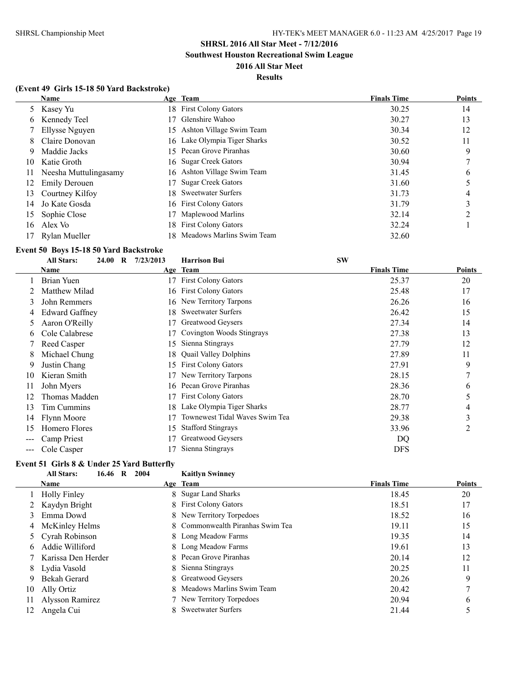**Southwest Houston Recreational Swim League**

### **2016 All Star Meet Results**

### **(Event 49 Girls 15-18 50 Yard Backstroke)**

|    | Name                  |    | Age Team                     | <b>Finals Time</b> | <b>Points</b> |
|----|-----------------------|----|------------------------------|--------------------|---------------|
|    | 5 Kasey Yu            |    | 18 First Colony Gators       | 30.25              | 14            |
| 6  | Kennedy Teel          | 17 | Glenshire Wahoo              | 30.27              | 13            |
|    | Ellysse Nguyen        |    | 15 Ashton Village Swim Team  | 30.34              | 12            |
| 8  | Claire Donovan        |    | 16 Lake Olympia Tiger Sharks | 30.52              | 11            |
| 9  | Maddie Jacks          |    | 15 Pecan Grove Piranhas      | 30.60              | 9             |
| 10 | Katie Groth           |    | 16 Sugar Creek Gators        | 30.94              |               |
| 11 | Neesha Muttulingasamy |    | 16 Ashton Village Swim Team  | 31.45              | 6             |
| 12 | <b>Emily Derouen</b>  |    | <b>Sugar Creek Gators</b>    | 31.60              |               |
| 13 | Courtney Kilfoy       |    | 18 Sweetwater Surfers        | 31.73              | 4             |
| 14 | Jo Kate Gosda         |    | 16 First Colony Gators       | 31.79              | 3             |
| 15 | Sophie Close          |    | Maplewood Marlins            | 32.14              |               |
| 16 | Alex Vo               |    | 18 First Colony Gators       | 32.24              |               |
|    | Rylan Mueller         |    | 18 Meadows Marlins Swim Team | 32.60              |               |

### **Event 50 Boys 15-18 50 Yard Backstroke**

|    | <b>All Stars:</b><br>24.00 | $\bf{R}$ | 7/23/2013 | <b>Harrison Bui</b>            | <b>SW</b>          |               |
|----|----------------------------|----------|-----------|--------------------------------|--------------------|---------------|
|    | Name                       |          |           | Age Team                       | <b>Finals Time</b> | <b>Points</b> |
|    | Brian Yuen                 |          |           | <b>First Colony Gators</b>     | 25.37              | 20            |
|    | Matthew Milad              |          |           | 16 First Colony Gators         | 25.48              | 17            |
| 3  | John Remmers               |          |           | 16 New Territory Tarpons       | 26.26              | 16            |
| 4  | <b>Edward Gaffney</b>      |          | 18        | Sweetwater Surfers             | 26.42              | 15            |
| 5  | Aaron O'Reilly             |          | 17        | Greatwood Geysers              | 27.34              | 14            |
| 6  | Cole Calabrese             |          |           | Covington Woods Stingrays      | 27.38              | 13            |
|    | Reed Casper                |          | 15        | Sienna Stingrays               | 27.79              | 12            |
| 8  | Michael Chung              |          | 18        | <b>Quail Valley Dolphins</b>   | 27.89              | 11            |
| 9  | Justin Chang               |          | 15        | <b>First Colony Gators</b>     | 27.91              | 9             |
| 10 | Kieran Smith               |          |           | New Territory Tarpons          | 28.15              | 7             |
| 11 | John Myers                 |          | 16.       | Pecan Grove Piranhas           | 28.36              | 6             |
| 12 | Thomas Madden              |          |           | <b>First Colony Gators</b>     | 28.70              | 5             |
| 13 | Tim Cummins                |          | 18        | Lake Olympia Tiger Sharks      | 28.77              | 4             |
| 14 | Flynn Moore                |          |           | Townewest Tidal Waves Swim Tea | 29.38              | 3             |
| 15 | Homero Flores              |          | 15        | <b>Stafford Stingrays</b>      | 33.96              | 2             |
|    | Camp Priest                |          |           | Greatwood Geysers              | DQ                 |               |
|    | Cole Casper                |          |           | Sienna Stingrays               | <b>DFS</b>         |               |

#### **Event 51 Girls 8 & Under 25 Yard Butterfly All Stars: 16.46 R 2004 Kaitlyn Swinney**

|    | Ан эшэ.<br>$10.40 \, N \, 2004$ | іханіўн эмпінсу                  |                    |               |
|----|---------------------------------|----------------------------------|--------------------|---------------|
|    | Name                            | Age Team                         | <b>Finals Time</b> | <b>Points</b> |
|    | <b>Holly Finley</b>             | 8 Sugar Land Sharks              | 18.45              | 20            |
|    | Kaydyn Bright                   | 8 First Colony Gators            | 18.51              | 17            |
| 3  | Emma Dowd                       | 8 New Territory Torpedoes        | 18.52              | 16            |
|    | McKinley Helms                  | 8 Commonwealth Piranhas Swim Tea | 19.11              | 15            |
|    | 5 Cyrah Robinson                | 8 Long Meadow Farms              | 19.35              | 14            |
| 6  | Addie Williford                 | 8 Long Meadow Farms              | 19.61              | 13            |
|    | Karissa Den Herder              | 8 Pecan Grove Piranhas           | 20.14              | 12            |
| 8  | Lydia Vasold                    | 8 Sienna Stingrays               | 20.25              | 11            |
| 9  | Bekah Gerard                    | 8 Greatwood Geysers              | 20.26              | 9             |
| 10 | Ally Ortiz                      | 8 Meadows Marlins Swim Team      | 20.42              |               |
| 11 | Alysson Ramirez                 | 7 New Territory Torpedoes        | 20.94              | 6             |
| 12 | Angela Cui                      | <b>Sweetwater Surfers</b>        | 21.44              |               |
|    |                                 |                                  |                    |               |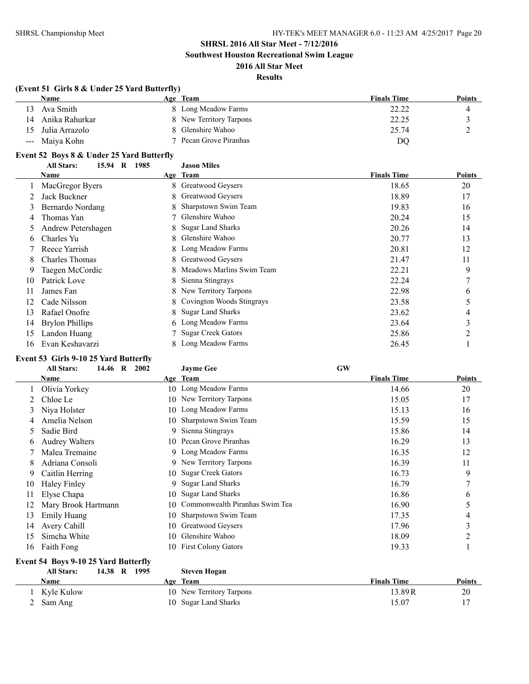**Southwest Houston Recreational Swim League**

### **2016 All Star Meet Results**

### **(Event 51 Girls 8 & Under 25 Yard Butterfly)**

|    | <b>Name</b>       | Age Team                | <b>Finals Time</b> | <b>Points</b> |
|----|-------------------|-------------------------|--------------------|---------------|
| 13 | Ava Smith         | 8 Long Meadow Farms     | 22.22              |               |
| 14 | Anika Rahurkar    | 8 New Territory Tarpons | 22.25              |               |
|    | 15 Julia Arrazolo | 8 Glenshire Wahoo       | 25.74              |               |
|    | --- Maiya Kohn    | 7 Pecan Grove Piranhas  | DQ                 |               |

### **Event 52 Boys 8 & Under 25 Yard Butterfly**

|    | 15.94<br>$\mathbf R$<br><b>All Stars:</b><br>1985 |    | <b>Jason Miles</b>        |                    |        |
|----|---------------------------------------------------|----|---------------------------|--------------------|--------|
|    | <b>Name</b>                                       |    | Age Team                  | <b>Finals Time</b> | Points |
|    | MacGregor Byers                                   |    | 8 Greatwood Geysers       | 18.65              | 20     |
|    | Jack Buckner                                      | 8  | Greatwood Geysers         | 18.89              | 17     |
| 3  | Bernardo Nordang                                  | 8  | Sharpstown Swim Team      | 19.83              | 16     |
| 4  | Thomas Yan                                        |    | Glenshire Wahoo           | 20.24              | 15     |
|    | Andrew Petershagen                                | 8  | <b>Sugar Land Sharks</b>  | 20.26              | 14     |
| 6  | Charles Yu                                        | 8  | Glenshire Wahoo           | 20.77              | 13     |
|    | Reece Yarrish                                     | 8. | Long Meadow Farms         | 20.81              | 12     |
| 8  | <b>Charles Thomas</b>                             | 8. | Greatwood Geysers         | 21.47              | 11     |
| 9  | Taegen McCordic                                   | 8  | Meadows Marlins Swim Team | 22.21              | 9      |
| 10 | Patrick Love                                      | 8  | Sienna Stingrays          | 22.24              | 7      |
| 11 | James Fan                                         | 8  | New Territory Tarpons     | 22.98              | 6      |
| 12 | Cade Nilsson                                      | 8. | Covington Woods Stingrays | 23.58              | 5      |
| 13 | Rafael Onofre                                     | 8  | <b>Sugar Land Sharks</b>  | 23.62              | 4      |
| 14 | <b>Brylon Phillips</b>                            | 6  | Long Meadow Farms         | 23.64              | 3      |
| 15 | Landon Huang                                      |    | <b>Sugar Creek Gators</b> | 25.86              | 2      |
| 16 | Evan Keshavarzi                                   |    | Long Meadow Farms         | 26.45              |        |

### **Event 53 Girls 9-10 25 Yard Butterfly**

|    | <b>All Stars:</b><br>14.46 R<br>2002 |     | <b>Jayme Gee</b>               | <b>GW</b>          |               |
|----|--------------------------------------|-----|--------------------------------|--------------------|---------------|
|    | Name                                 |     | Age Team                       | <b>Finals Time</b> | <b>Points</b> |
|    | Olivia Yorkey                        |     | 10 Long Meadow Farms           | 14.66              | 20            |
|    | Chloe Le                             | 10. | New Territory Tarpons          | 15.05              | 17            |
| 3  | Niya Holster                         |     | 10 Long Meadow Farms           | 15.13              | 16            |
| 4  | Amelia Nelson                        | 10. | Sharpstown Swim Team           | 15.59              | 15            |
| 5. | Sadie Bird                           | 9.  | Sienna Stingrays               | 15.86              | 14            |
| b  | <b>Audrey Walters</b>                |     | 10 Pecan Grove Piranhas        | 16.29              | 13            |
|    | Malea Tremaine                       |     | 9 Long Meadow Farms            | 16.35              | 12            |
| 8  | Adriana Consoli                      |     | 9 New Territory Tarpons        | 16.39              | 11            |
| 9  | Caitlin Herring                      | 10- | <b>Sugar Creek Gators</b>      | 16.73              | 9             |
| 10 | <b>Haley Finley</b>                  | 9.  | <b>Sugar Land Sharks</b>       | 16.79              | $\mathcal{I}$ |
| 11 | Elyse Chapa                          | 10. | <b>Sugar Land Sharks</b>       | 16.86              | 6             |
| 12 | Mary Brook Hartmann                  | 10  | Commonwealth Piranhas Swim Tea | 16.90              | 5             |
| 13 | <b>Emily Huang</b>                   | 10  | Sharpstown Swim Team           | 17.35              | 4             |
| 14 | Avery Cahill                         | 10  | Greatwood Geysers              | 17.96              | 3             |
| 15 | Simcha White                         | 10  | Glenshire Wahoo                | 18.09              | 2             |
| 16 | Faith Fong                           |     | 10 First Colony Gators         | 19.33              |               |

# **Event 54 Boys 9-10 25 Yard Butterfly<br>All Stars:** 14.38 R 1995

| <b>All Stars:</b> | 1995<br>14.38<br>R | <b>Steven Hogan</b>      |                    |               |
|-------------------|--------------------|--------------------------|--------------------|---------------|
| Name              |                    | Age Team                 | <b>Finals Time</b> | <b>Points</b> |
| Kyle Kulow        |                    | 10 New Territory Tarpons | 13.89 R            | 20            |
| Sam Ang           |                    | 10 Sugar Land Sharks     | 15.07              |               |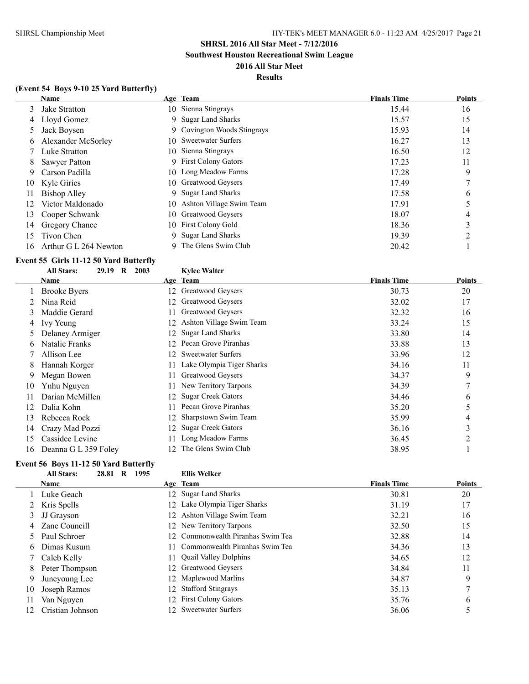**Southwest Houston Recreational Swim League**

### **2016 All Star Meet Results**

### **(Event 54 Boys 9-10 25 Yard Butterfly)**

|    | Name                  |    | Age Team                    | <b>Finals Time</b> | <b>Points</b> |
|----|-----------------------|----|-----------------------------|--------------------|---------------|
|    | 3 Jake Stratton       |    | 10 Sienna Stingrays         | 15.44              | 16            |
| 4  | Lloyd Gomez           | 9. | <b>Sugar Land Sharks</b>    | 15.57              | 15            |
| 5. | Jack Boysen           |    | 9 Covington Woods Stingrays | 15.93              | 14            |
| 6  | Alexander McSorley    |    | 10 Sweetwater Surfers       | 16.27              | 13            |
|    | Luke Stratton         |    | 10 Sienna Stingrays         | 16.50              | 12            |
| 8  | Sawyer Patton         |    | 9 First Colony Gators       | 17.23              | 11            |
| 9  | Carson Padilla        |    | 10 Long Meadow Farms        | 17.28              | 9             |
| 10 | Kyle Giries           |    | 10 Greatwood Geysers        | 17.49              |               |
| 11 | Bishop Alley          |    | 9 Sugar Land Sharks         | 17.58              | 6             |
| 12 | Victor Maldonado      |    | 10 Ashton Village Swim Team | 17.91              |               |
| 13 | Cooper Schwank        |    | 10 Greatwood Geysers        | 18.07              | 4             |
| 14 | Gregory Chance        |    | 10 First Colony Gold        | 18.36              | C             |
| 15 | Tivon Chen            | 9. | <b>Sugar Land Sharks</b>    | 19.39              |               |
| 16 | Arthur G L 264 Newton | 9  | The Glens Swim Club         | 20.42              |               |

### **Event 55 Girls 11-12 50 Yard Butterfly**

|    | <b>All Stars:</b><br>29.19<br>$\bf{R}$<br>2003 |     | <b>Kylee Walter</b>       |                    |        |
|----|------------------------------------------------|-----|---------------------------|--------------------|--------|
|    | Name                                           |     | Age Team                  | <b>Finals Time</b> | Points |
|    | <b>Brooke Byers</b>                            | 12  | Greatwood Geysers         | 30.73              | 20     |
|    | Nina Reid                                      | 12  | Greatwood Geysers         | 32.02              | 17     |
| 3  | Maddie Gerard                                  |     | Greatwood Geysers         | 32.32              | 16     |
| 4  | Ivy Yeung                                      | 12  | Ashton Village Swim Team  | 33.24              | 15     |
|    | Delaney Armiger                                | 12  | <b>Sugar Land Sharks</b>  | 33.80              | 14     |
| 6  | Natalie Franks                                 | 12  | Pecan Grove Piranhas      | 33.88              | 13     |
|    | Allison Lee                                    | 12  | <b>Sweetwater Surfers</b> | 33.96              | 12     |
| 8  | Hannah Korger                                  | 11  | Lake Olympia Tiger Sharks | 34.16              | 11     |
| 9  | Megan Bowen                                    | 11  | Greatwood Geysers         | 34.37              | 9      |
| 10 | Ynhu Nguyen                                    |     | New Territory Tarpons     | 34.39              | 7      |
| 11 | Darian McMillen                                | 12  | <b>Sugar Creek Gators</b> | 34.46              | 6      |
| 12 | Dalia Kohn                                     |     | Pecan Grove Piranhas      | 35.20              | 5      |
| 13 | Rebecca Rock                                   | 12  | Sharpstown Swim Team      | 35.99              | 4      |
| 14 | Crazy Mad Pozzi                                | 12  | <b>Sugar Creek Gators</b> | 36.16              | 3      |
| 15 | Cassidee Levine                                |     | Long Meadow Farms         | 36.45              | 2      |
| 16 | Deanna G L 359 Foley                           | 12. | The Glens Swim Club       | 38.95              |        |

### **Event 56 Boys 11-12 50 Yard Butterfly**

|    | <b>All Stars:</b><br>28.81<br>R | 1995 | <b>Ellis Welker</b>               |                    |               |
|----|---------------------------------|------|-----------------------------------|--------------------|---------------|
|    | <b>Name</b>                     |      | Age Team                          | <b>Finals Time</b> | <b>Points</b> |
|    | Luke Geach                      |      | 12 Sugar Land Sharks              | 30.81              | 20            |
|    | 2 Kris Spells                   |      | 12 Lake Olympia Tiger Sharks      | 31.19              | 17            |
| 3  | JJ Grayson                      |      | 12 Ashton Village Swim Team       | 32.21              | 16            |
|    | 4 Zane Councill                 |      | 12 New Territory Tarpons          | 32.50              | 15            |
|    | 5 Paul Schroer                  |      | 12 Commonwealth Piranhas Swim Tea | 32.88              | 14            |
| 6  | Dimas Kusum                     |      | 11 Commonwealth Piranhas Swim Tea | 34.36              | 13            |
|    | Caleb Kelly                     |      | 11 Quail Valley Dolphins          | 34.65              | 12            |
| 8  | Peter Thompson                  |      | 12 Greatwood Geysers              | 34.84              | 11            |
| 9  | Juneyoung Lee                   |      | 12 Maplewood Marlins              | 34.87              | 9             |
| 10 | Joseph Ramos                    |      | 12 Stafford Stingrays             | 35.13              | 7             |
| 11 | Van Nguyen                      |      | 12 First Colony Gators            | 35.76              | 6             |
| 12 | Cristian Johnson                |      | 12 Sweetwater Surfers             | 36.06              |               |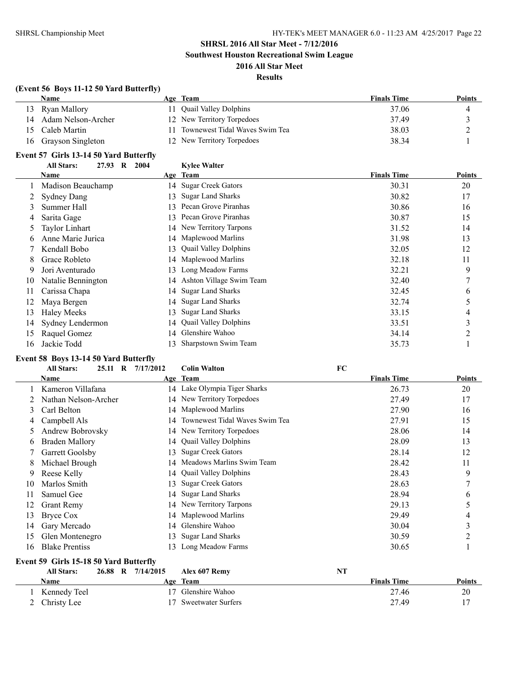### **SHRSL 2016 All Star Meet - 7/12/2016 Southwest Houston Recreational Swim League**

**2016 All Star Meet**

### **Results**

### **(Event 56 Boys 11-12 50 Yard Butterfly)**

|    | Name               | Age Team                       | <b>Finals Time</b> | <b>Points</b> |
|----|--------------------|--------------------------------|--------------------|---------------|
|    | 13 Ryan Mallory    | Quail Valley Dolphins          | 37.06              |               |
| 14 | Adam Nelson-Archer | 12 New Territory Torpedoes     | 37.49              |               |
|    | 15 Caleb Martin    | Townewest Tidal Waves Swim Tea | 38.03              | ∸             |
| 16 | Grayson Singleton  | 12 New Territory Torpedoes     | 38.34              |               |

### **Event 57 Girls 13-14 50 Yard Butterfly**

|    | $\frac{1}{2}$                |      |    |                              |                    |               |
|----|------------------------------|------|----|------------------------------|--------------------|---------------|
|    | <b>All Stars:</b><br>27.93 R | 2004 |    | <b>Kylee Walter</b>          |                    |               |
|    | Name                         |      |    | Age Team                     | <b>Finals Time</b> | <b>Points</b> |
|    | Madison Beauchamp            |      | 14 | <b>Sugar Creek Gators</b>    | 30.31              | 20            |
|    | <b>Sydney Dang</b>           |      | 13 | <b>Sugar Land Sharks</b>     | 30.82              | 17            |
| 3  | Summer Hall                  |      | 13 | Pecan Grove Piranhas         | 30.86              | 16            |
| 4  | Sarita Gage                  |      | 13 | Pecan Grove Piranhas         | 30.87              | 15            |
|    | <b>Taylor Linhart</b>        |      |    | 14 New Territory Tarpons     | 31.52              | 14            |
|    | Anne Marie Jurica            |      |    | 14 Maplewood Marlins         | 31.98              | 13            |
|    | Kendall Bobo                 |      | 13 | <b>Quail Valley Dolphins</b> | 32.05              | 12            |
| 8  | Grace Robleto                |      | 14 | Maplewood Marlins            | 32.18              | 11            |
| 9  | Jori Aventurado              |      | 13 | Long Meadow Farms            | 32.21              | 9             |
| 10 | Natalie Bennington           |      | 14 | Ashton Village Swim Team     | 32.40              | 7             |
|    | Carissa Chapa                |      | 14 | <b>Sugar Land Sharks</b>     | 32.45              | 6             |
|    | Maya Bergen                  |      | 14 | <b>Sugar Land Sharks</b>     | 32.74              | 5             |
| 13 | <b>Haley Meeks</b>           |      | 13 | <b>Sugar Land Sharks</b>     | 33.15              | 4             |
| 14 | Sydney Lendermon             |      | 14 | <b>Quail Valley Dolphins</b> | 33.51              | 3             |
| 15 | Raquel Gomez                 |      | 14 | Glenshire Wahoo              | 34.14              | 2             |
| 16 | Jackie Todd                  |      |    | Sharpstown Swim Team         | 35.73              |               |

### **Event 58 Boys 13-14 50 Yard Butterfly**

|    | <b>All Stars:</b><br>25.11 R           | 7/17/2012         | <b>Colin Walton</b>               | FC                 |               |
|----|----------------------------------------|-------------------|-----------------------------------|--------------------|---------------|
|    | Name                                   |                   | Age Team                          | <b>Finals Time</b> | <b>Points</b> |
|    | Kameron Villafana                      |                   | 14 Lake Olympia Tiger Sharks      | 26.73              | 20            |
|    | Nathan Nelson-Archer                   |                   | 14 New Territory Torpedoes        | 27.49              | 17            |
| 3  | Carl Belton                            |                   | 14 Maplewood Marlins              | 27.90              | 16            |
| 4  | Campbell Als                           |                   | 14 Townewest Tidal Waves Swim Tea | 27.91              | 15            |
| 5  | Andrew Bobrovsky                       |                   | 14 New Territory Torpedoes        | 28.06              | 14            |
| 6  | Braden Mallory                         |                   | 14 Quail Valley Dolphins          | 28.09              | 13            |
|    | Garrett Goolsby                        | 13.               | <b>Sugar Creek Gators</b>         | 28.14              | 12            |
| 8  | Michael Brough                         | 14                | Meadows Marlins Swim Team         | 28.42              | 11            |
| 9  | Reese Kelly                            | 14                | <b>Quail Valley Dolphins</b>      | 28.43              | 9             |
| 10 | Marlos Smith                           | 13                | <b>Sugar Creek Gators</b>         | 28.63              | 7             |
| 11 | Samuel Gee                             | 14                | <b>Sugar Land Sharks</b>          | 28.94              | 6             |
| 12 | <b>Grant Remy</b>                      |                   | 14 New Territory Tarpons          | 29.13              | 5             |
| 13 | <b>Bryce Cox</b>                       |                   | 14 Maplewood Marlins              | 29.49              | 4             |
| 14 | Gary Mercado                           | 14                | Glenshire Wahoo                   | 30.04              | 3             |
| 15 | Glen Montenegro                        | 13                | <b>Sugar Land Sharks</b>          | 30.59              | 2             |
| 16 | <b>Blake Prentiss</b>                  | 13.               | Long Meadow Farms                 | 30.65              |               |
|    | Event 59 Girls 15-18 50 Yard Butterfly |                   |                                   |                    |               |
|    | <b>All Stars:</b>                      | 26.88 R 7/14/2015 | Alex 607 Remv                     | NT                 |               |

| 1.11.5.0011.001      | $-0.000 - 1.1$ | $1$ <i>MAX</i> $001$ <i>MAXMA</i> | .                  |               |
|----------------------|----------------|-----------------------------------|--------------------|---------------|
| <b>Name</b>          |                | Age Team                          | <b>Finals Time</b> | <b>Points</b> |
| Kennedy Teel         |                | 17 Glenshire Wahoo                | 27.46              | 20            |
| $\angle$ Christy Lee |                | 17 Sweetwater Surfers             | 27.49              |               |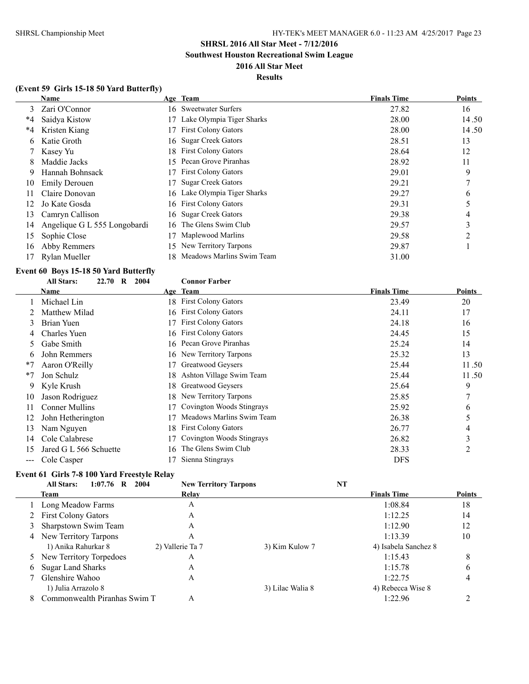**Southwest Houston Recreational Swim League**

### **2016 All Star Meet**

### **Results**

|      | <b>Name</b>                  |     | Age Team                     | <b>Finals Time</b> | Points |
|------|------------------------------|-----|------------------------------|--------------------|--------|
| 3    | Zari O'Connor                |     | 16 Sweetwater Surfers        | 27.82              | 16     |
| $*4$ | Saidya Kistow                |     | Lake Olympia Tiger Sharks    | 28.00              | 14.50  |
| $*4$ | Kristen Kiang                | 17  | <b>First Colony Gators</b>   | 28.00              | 14.50  |
| 6    | Katie Groth                  |     | 16 Sugar Creek Gators        | 28.51              | 13     |
|      | Kasey Yu                     |     | 18 First Colony Gators       | 28.64              | 12     |
| 8    | Maddie Jacks                 |     | 15 Pecan Grove Piranhas      | 28.92              | 11     |
| 9    | Hannah Bohnsack              | 17  | <b>First Colony Gators</b>   | 29.01              | 9      |
| 10   | Emily Derouen                | 17  | <b>Sugar Creek Gators</b>    | 29.21              |        |
| 11   | Claire Donovan               |     | 16 Lake Olympia Tiger Sharks | 29.27              | 6      |
| 12   | Jo Kate Gosda                |     | 16 First Colony Gators       | 29.31              |        |
| 13   | Camryn Callison              |     | 16 Sugar Creek Gators        | 29.38              | 4      |
| 14   | Angelique G L 555 Longobardi | 16. | The Glens Swim Club          | 29.57              | 3      |
| 15   | Sophie Close                 | 17  | Maplewood Marlins            | 29.58              | ∍      |
| 16   | Abby Remmers                 | 15. | New Territory Tarpons        | 29.87              |        |
| 17   | Rylan Mueller                | 18. | Meadows Marlins Swim Team    | 31.00              |        |

### **Event 60 Boys 15-18 50 Yard Butterfly**

|      | <b>All Stars:</b><br>22.70<br>R | 2004 | <b>Connor Farber</b>       |                    |        |
|------|---------------------------------|------|----------------------------|--------------------|--------|
|      | Name                            |      | Age Team                   | <b>Finals Time</b> | Points |
|      | Michael Lin                     |      | 18 First Colony Gators     | 23.49              | 20     |
|      | Matthew Milad                   | 16   | <b>First Colony Gators</b> | 24.11              | 17     |
| 3    | Brian Yuen                      |      | <b>First Colony Gators</b> | 24.18              | 16     |
| 4    | Charles Yuen                    |      | 16 First Colony Gators     | 24.45              | 15     |
| 5.   | Gabe Smith                      |      | 16 Pecan Grove Piranhas    | 25.24              | 14     |
| 6    | John Remmers                    |      | 16 New Territory Tarpons   | 25.32              | 13     |
| $*7$ | Aaron O'Reilly                  |      | Greatwood Geysers          | 25.44              | 11.50  |
| $*7$ | Jon Schulz                      | 18.  | Ashton Village Swim Team   | 25.44              | 11.50  |
| 9    | Kyle Krush                      | 18.  | Greatwood Geysers          | 25.64              | 9      |
| 10   | Jason Rodriguez                 | 18   | New Territory Tarpons      | 25.85              | 7      |
| 11   | <b>Conner Mullins</b>           |      | Covington Woods Stingrays  | 25.92              | 6      |
| 12   | John Hetherington               |      | Meadows Marlins Swim Team  | 26.38              |        |
| 13   | Nam Nguyen                      | 18   | <b>First Colony Gators</b> | 26.77              | 4      |
| 14   | Cole Calabrese                  |      | Covington Woods Stingrays  | 26.82              | 3      |
| 15   | Jared G L 566 Schuette          | 16.  | The Glens Swim Club        | 28.33              | 2      |
| ---  | Cole Casper                     |      | Sienna Stingrays           | <b>DFS</b>         |        |

### **Event 61 Girls 7-8 100 Yard Freestyle Relay**

| <b>All Stars:</b><br>$1:07.76$ R<br>2004 | <b>New Territory Tarpons</b> |                  | NT                   |               |
|------------------------------------------|------------------------------|------------------|----------------------|---------------|
| Team                                     | Relay                        |                  | <b>Finals Time</b>   | <b>Points</b> |
| Long Meadow Farms                        | А                            |                  | 1:08.84              | 18            |
| 2 First Colony Gators                    | Α                            |                  | 1:12.25              | 14            |
| Sharpstown Swim Team                     | A                            |                  | 1:12.90              | 12            |
| New Territory Tarpons<br>4               | Α                            |                  | 1:13.39              | 10            |
| 1) Anika Rahurkar 8                      | 2) Vallerie Ta 7             | 3) Kim Kulow 7   | 4) Isabela Sanchez 8 |               |
| 5 New Territory Torpedoes                | Α                            |                  | 1:15.43              | 8             |
| Sugar Land Sharks<br>6                   | Α                            |                  | 1:15.78              | 6             |
| Glenshire Wahoo                          | A                            |                  | 1:22.75              | 4             |
| 1) Julia Arrazolo 8                      |                              | 3) Lilac Walia 8 | 4) Rebecca Wise 8    |               |
| Commonwealth Piranhas Swim T<br>8        | Α                            |                  | 1:22.96              |               |
|                                          |                              |                  |                      |               |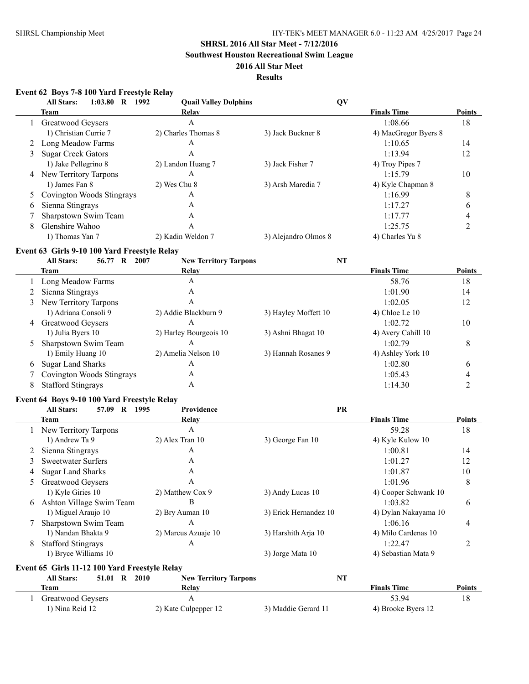**Southwest Houston Recreational Swim League**

### **2016 All Star Meet**

### **Results**

### **Event 62 Boys 7-8 100 Yard Freestyle Relay**

|   | $1:03.80$ R<br><b>All Stars:</b> | 1992<br><b>Quail Valley Dolphins</b> |                      | QV                   |               |
|---|----------------------------------|--------------------------------------|----------------------|----------------------|---------------|
|   | <b>Team</b>                      | Relay                                |                      | <b>Finals Time</b>   | <b>Points</b> |
|   | Greatwood Geysers                | A                                    |                      | 1:08.66              | 18            |
|   | 1) Christian Currie 7            | 2) Charles Thomas 8                  | 3) Jack Buckner 8    | 4) MacGregor Byers 8 |               |
|   | Long Meadow Farms                | А                                    |                      | 1:10.65              | 14            |
| 3 | <b>Sugar Creek Gators</b>        | А                                    |                      | 1:13.94              | 12            |
|   | 1) Jake Pellegrino 8             | 2) Landon Huang 7                    | 3) Jack Fisher 7     | 4) Troy Pipes 7      |               |
| 4 | New Territory Tarpons            | А                                    |                      | 1:15.79              | 10            |
|   | 1) James Fan 8                   | 2) Wes Chu 8                         | 3) Arsh Maredia 7    | 4) Kyle Chapman 8    |               |
|   | 5 Covington Woods Stingrays      | А                                    |                      | 1:16.99              | 8             |
| 6 | Sienna Stingrays                 | А                                    |                      | 1:17.27              | b             |
|   | Sharpstown Swim Team             | A                                    |                      | 1:17.77              | 4             |
| 8 | Glenshire Wahoo                  | А                                    |                      | 1:25.75              |               |
|   | 1) Thomas Yan 7                  | 2) Kadin Weldon 7                    | 3) Alejandro Olmos 8 | 4) Charles Yu 8      |               |

### **Event 63 Girls 9-10 100 Yard Freestyle Relay**

|   | <b>All Stars:</b><br>56.77<br>$\mathbf R$ | 2007<br><b>New Territory Tarpons</b> | NT                   |                    |               |
|---|-------------------------------------------|--------------------------------------|----------------------|--------------------|---------------|
|   | Team                                      | Relay                                |                      | <b>Finals Time</b> | <b>Points</b> |
|   | Long Meadow Farms                         | A                                    |                      | 58.76              | 18            |
|   | 2 Sienna Stingrays                        | A                                    |                      | 1:01.90            | 14            |
|   | 3 New Territory Tarpons                   | А                                    |                      | 1:02.05            | 12            |
|   | 1) Adriana Consoli 9                      | 2) Addie Blackburn 9                 | 3) Hayley Moffett 10 | 4) Chloe Le $10$   |               |
|   | 4 Greatwood Geysers                       | А                                    |                      | 1:02.72            | 10            |
|   | 1) Julia Byers 10                         | 2) Harley Bourgeois 10               | 3) Ashni Bhagat 10   | 4) Avery Cahill 10 |               |
| 5 | Sharpstown Swim Team                      | А                                    |                      | 1:02.79            | 8             |
|   | 1) Emily Huang 10                         | 2) Amelia Nelson 10                  | 3) Hannah Rosanes 9  | 4) Ashley York 10  |               |
| 6 | <b>Sugar Land Sharks</b>                  | Α                                    |                      | 1:02.80            | 6             |
|   | 7 Covington Woods Stingrays               | A                                    |                      | 1:05.43            |               |
| 8 | <b>Stafford Stingrays</b>                 | A                                    |                      | 1:14.30            |               |

### **Event 64 Boys 9-10 100 Yard Freestyle Relay**

|   | <b>All Stars:</b><br>57.09<br>$\mathbf{R}$    | Providence<br>1995           | <b>PR</b>             |                      |               |
|---|-----------------------------------------------|------------------------------|-----------------------|----------------------|---------------|
|   | Team                                          | Relay                        |                       | <b>Finals Time</b>   | <b>Points</b> |
|   | New Territory Tarpons                         | A                            |                       | 59.28                | 18            |
|   | 1) Andrew Ta 9                                | $2)$ Alex Tran 10            | 3) George Fan 10      | 4) Kyle Kulow 10     |               |
| 2 | Sienna Stingrays                              | A                            |                       | 1:00.81              | 14            |
| 3 | <b>Sweetwater Surfers</b>                     | A                            |                       | 1:01.27              | 12            |
|   | <b>Sugar Land Sharks</b>                      | A                            |                       | 1:01.87              | 10            |
| 5 | Greatwood Geysers                             | A                            |                       | 1:01.96              | 8             |
|   | 1) Kyle Giries 10                             | 2) Matthew Cox 9             | 3) Andy Lucas 10      | 4) Cooper Schwank 10 |               |
| 6 | Ashton Village Swim Team                      | B                            |                       | 1:03.82              | 6             |
|   | 1) Miguel Araujo 10                           | 2) Bry Auman 10              | 3) Erick Hernandez 10 | 4) Dylan Nakayama 10 |               |
|   | Sharpstown Swim Team                          | A                            |                       | 1:06.16              | 4             |
|   | 1) Nandan Bhakta 9                            | 2) Marcus Azuaje 10          | 3) Harshith Arja 10   | 4) Milo Cardenas 10  |               |
| 8 | <b>Stafford Stingrays</b>                     | A                            |                       | 1:22.47              | 2             |
|   | 1) Bryce Williams 10                          |                              | 3) Jorge Mata 10      | 4) Sebastian Mata 9  |               |
|   | Event 65 Girls 11-12 100 Yard Freestyle Relay |                              |                       |                      |               |
|   | <b>All Stars:</b><br>51.01 R 2010             | <b>New Territory Tarpons</b> | <b>NT</b>             |                      |               |
|   | Team                                          | Relay                        |                       | <b>Finals Time</b>   | <b>Points</b> |
|   | Greatwood Geysers                             | A                            |                       | 53.94                | 18            |
|   | 1) Nina Reid 12                               | 2) Kate Culpepper 12         | 3) Maddie Gerard 11   | 4) Brooke Byers 12   |               |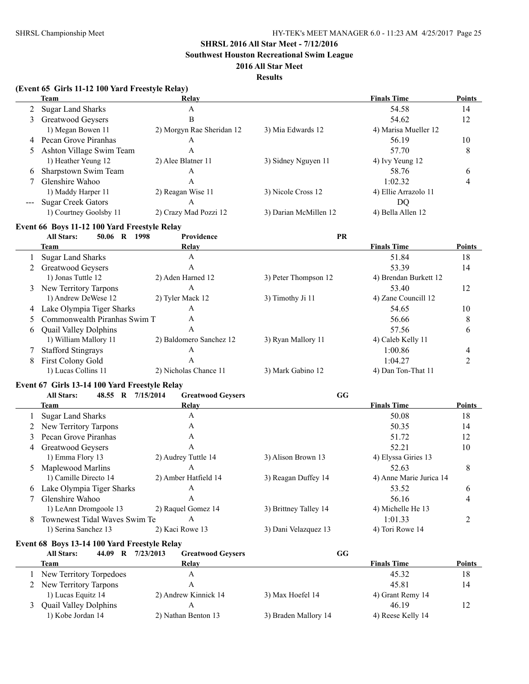**Southwest Houston Recreational Swim League**

### **2016 All Star Meet**

**Results**

|                                          | (Event 65 Girls 11-12 100 Yard Freestyle Relay) |                           |                       |                         |                |
|------------------------------------------|-------------------------------------------------|---------------------------|-----------------------|-------------------------|----------------|
|                                          | <b>Team</b>                                     | Relay                     |                       | <b>Finals Time</b>      | <b>Points</b>  |
| $\overline{2}$                           | <b>Sugar Land Sharks</b>                        | A                         |                       | 54.58                   | 14             |
| $\mathfrak{Z}$                           | Greatwood Geysers                               | B                         |                       | 54.62                   | 12             |
|                                          | 1) Megan Bowen 11                               | 2) Morgyn Rae Sheridan 12 | 3) Mia Edwards 12     | 4) Marisa Mueller 12    |                |
|                                          | 4 Pecan Grove Piranhas                          | A                         |                       | 56.19                   | 10             |
| 5                                        | Ashton Village Swim Team                        | A                         |                       | 57.70                   | 8              |
|                                          | 1) Heather Yeung 12                             | 2) Alee Blatner 11        | 3) Sidney Nguyen 11   | 4) Ivy Yeung 12         |                |
| 6                                        | Sharpstown Swim Team                            | A                         |                       | 58.76                   | 6              |
| 7                                        | Glenshire Wahoo                                 | A                         |                       | 1:02.32                 | 4              |
|                                          | 1) Maddy Harper 11                              | 2) Reagan Wise 11         | 3) Nicole Cross 12    | 4) Ellie Arrazolo 11    |                |
| $\hspace{0.05cm} \ldots \hspace{0.05cm}$ | <b>Sugar Creek Gators</b>                       | A                         |                       | <b>DQ</b>               |                |
|                                          | 1) Courtney Goolsby 11                          | 2) Crazy Mad Pozzi 12     | 3) Darian McMillen 12 | 4) Bella Allen 12       |                |
|                                          | Event 66 Boys 11-12 100 Yard Freestyle Relay    |                           |                       |                         |                |
|                                          | 50.06 R 1998<br><b>All Stars:</b>               | Providence                | PR                    |                         |                |
|                                          | Team                                            | Relay                     |                       | <b>Finals Time</b>      | Points         |
| 1                                        | <b>Sugar Land Sharks</b>                        | A                         |                       | 51.84                   | 18             |
|                                          | 2 Greatwood Geysers                             | A                         |                       | 53.39                   | 14             |
|                                          | 1) Jonas Tuttle 12                              | 2) Aden Harned 12         | 3) Peter Thompson 12  | 4) Brendan Burkett 12   |                |
|                                          | 3 New Territory Tarpons                         | $\mathbf{A}$              |                       | 53.40                   | 12             |
|                                          | 1) Andrew DeWese 12                             | 2) Tyler Mack 12          | 3) Timothy Ji 11      | 4) Zane Councill 12     |                |
|                                          | 4 Lake Olympia Tiger Sharks                     | A                         |                       | 54.65                   | 10             |
| 5                                        | Commonwealth Piranhas Swim T                    | A                         |                       | 56.66                   | 8              |
| 6                                        | <b>Quail Valley Dolphins</b>                    | A                         |                       | 57.56                   | 6              |
|                                          | 1) William Mallory 11                           | 2) Baldomero Sanchez 12   | 3) Ryan Mallory 11    | 4) Caleb Kelly 11       |                |
|                                          |                                                 | A                         |                       | 1:00.86                 |                |
| 7                                        | <b>Stafford Stingrays</b>                       |                           |                       |                         | 4              |
| 8                                        | First Colony Gold                               | A                         |                       | 1:04.27                 | $\overline{c}$ |
|                                          | 1) Lucas Collins 11                             | 2) Nicholas Chance 11     | 3) Mark Gabino 12     | 4) Dan Ton-That 11      |                |
|                                          | Event 67 Girls 13-14 100 Yard Freestyle Relay   |                           |                       |                         |                |
|                                          | <b>All Stars:</b><br>48.55 R 7/15/2014          | <b>Greatwood Geysers</b>  | GG                    |                         |                |
|                                          | Team                                            | <b>Relay</b>              |                       | <b>Finals Time</b>      | <b>Points</b>  |
| 1                                        | <b>Sugar Land Sharks</b>                        | A                         |                       | 50.08                   | 18             |
|                                          | New Territory Tarpons                           | A                         |                       | 50.35                   | 14             |
| 3                                        | Pecan Grove Piranhas                            | A                         |                       | 51.72                   | 12             |
| 4                                        | Greatwood Geysers                               | A                         |                       | 52.21                   | 10             |
|                                          | 1) Emma Flory 13                                | 2) Audrey Tuttle 14       | 3) Alison Brown 13    | 4) Elyssa Giries 13     |                |
| 5                                        | Maplewood Marlins                               | A                         |                       | 52.63                   | $\,$ $\,$      |
|                                          | 1) Camille Directo 14                           | 2) Amber Hatfield 14      | 3) Reagan Duffey 14   | 4) Anne Marie Jurica 14 |                |
|                                          | 6 Lake Olympia Tiger Sharks                     | A                         |                       | 53.52                   | 6              |
| 7                                        | Glenshire Wahoo                                 | A                         |                       | 56.16                   | 4              |
|                                          | 1) LeAnn Dromgoole 13                           | 2) Raquel Gomez 14        | 3) Brittney Talley 14 | 4) Michelle He 13       |                |
| 8                                        | Townewest Tidal Waves Swim Te                   | A                         |                       | 1:01.33                 | 2              |
|                                          | 1) Serina Sanchez 13                            | 2) Kaci Rowe 13           | 3) Dani Velazquez 13  | 4) Tori Rowe 14         |                |
|                                          | Event 68 Boys 13-14 100 Yard Freestyle Relay    |                           |                       |                         |                |
|                                          | 44.09 R 7/23/2013<br><b>All Stars:</b>          | <b>Greatwood Geysers</b>  | GG                    |                         |                |
|                                          | <b>Team</b>                                     | Relay                     |                       | <b>Finals Time</b>      | <b>Points</b>  |
|                                          |                                                 | A                         |                       | 45.32                   | 18             |
| 1                                        | New Territory Torpedoes                         |                           |                       |                         |                |
|                                          | 2 New Territory Tarpons                         | A                         |                       | 45.81                   | 14             |
|                                          | 1) Lucas Equitz 14                              | 2) Andrew Kinnick 14      | 3) Max Hoefel 14      | 4) Grant Remy 14        |                |
| 3                                        | <b>Quail Valley Dolphins</b>                    | $\mathbf{A}$              |                       | 46.19                   | 12             |
|                                          | 1) Kobe Jordan 14                               | 2) Nathan Benton 13       | 3) Braden Mallory 14  | 4) Reese Kelly 14       |                |